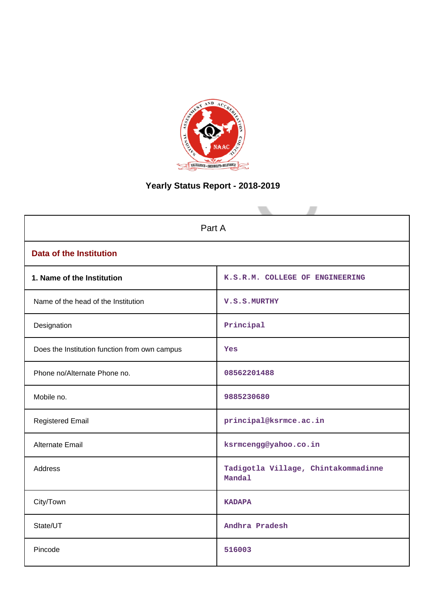

# **Yearly Status Report - 2018-2019**

| Part A                                        |                                               |  |  |
|-----------------------------------------------|-----------------------------------------------|--|--|
| <b>Data of the Institution</b>                |                                               |  |  |
| 1. Name of the Institution                    | K.S.R.M. COLLEGE OF ENGINEERING               |  |  |
| Name of the head of the Institution           | V.S.S.MURTHY                                  |  |  |
| Designation                                   | Principal                                     |  |  |
| Does the Institution function from own campus | Yes                                           |  |  |
| Phone no/Alternate Phone no.                  | 08562201488                                   |  |  |
| Mobile no.                                    | 9885230680                                    |  |  |
| <b>Registered Email</b>                       | principal@ksrmce.ac.in                        |  |  |
| <b>Alternate Email</b>                        | ksrmcengg@yahoo.co.in                         |  |  |
| Address                                       | Tadigotla Village, Chintakommadinne<br>Mandal |  |  |
| City/Town                                     | <b>KADAPA</b>                                 |  |  |
| State/UT                                      | Andhra Pradesh                                |  |  |
| Pincode                                       | 516003                                        |  |  |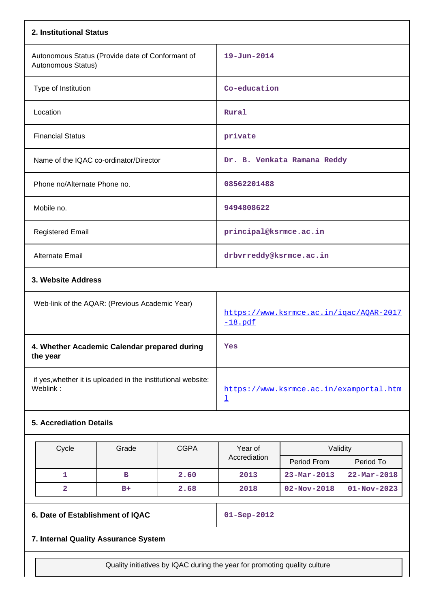| 2. Institutional Status                                                  |                                        |      |                                                      |                          |                   |
|--------------------------------------------------------------------------|----------------------------------------|------|------------------------------------------------------|--------------------------|-------------------|
| Autonomous Status (Provide date of Conformant of<br>Autonomous Status)   |                                        |      | $19 - Jun - 2014$                                    |                          |                   |
| Type of Institution                                                      |                                        |      | Co-education                                         |                          |                   |
| Location                                                                 |                                        |      | Rural                                                |                          |                   |
| <b>Financial Status</b>                                                  |                                        |      | private                                              |                          |                   |
|                                                                          | Name of the IQAC co-ordinator/Director |      | Dr. B. Venkata Ramana Reddy                          |                          |                   |
| Phone no/Alternate Phone no.                                             |                                        |      | 08562201488                                          |                          |                   |
| Mobile no.                                                               |                                        |      | 9494808622                                           |                          |                   |
| <b>Registered Email</b>                                                  |                                        |      | principal@ksrmce.ac.in                               |                          |                   |
| Alternate Email                                                          |                                        |      | drbvrreddy@ksrmce.ac.in                              |                          |                   |
| 3. Website Address                                                       |                                        |      |                                                      |                          |                   |
| Web-link of the AQAR: (Previous Academic Year)                           |                                        |      | https://www.ksrmce.ac.in/igac/AQAR-2017<br>$-18.pdf$ |                          |                   |
| 4. Whether Academic Calendar prepared during<br>the year                 |                                        |      | Yes                                                  |                          |                   |
| if yes, whether it is uploaded in the institutional website:<br>Weblink: |                                        |      | https://www.ksrmce.ac.in/examportal.htm<br>T         |                          |                   |
| <b>5. Accrediation Details</b>                                           |                                        |      |                                                      |                          |                   |
| Cycle<br>Grade<br><b>CGPA</b>                                            |                                        |      | Year of                                              | Validity                 |                   |
|                                                                          |                                        |      | Accrediation                                         | Period From              | Period To         |
| 1                                                                        | $\mathbf B$                            | 2.60 | 2013                                                 | $23 - \text{Mar} - 2013$ | $22 - Mar - 2018$ |
| $\mathbf{2}$                                                             | $B+$                                   | 2.68 | 2018                                                 | $02 - Nov - 2018$        | $01 - Nov - 2023$ |
| 6. Date of Establishment of IQAC                                         |                                        |      | $01 -$ Sep-2012                                      |                          |                   |
| 7. Internal Quality Assurance System                                     |                                        |      |                                                      |                          |                   |

Quality initiatives by IQAC during the year for promoting quality culture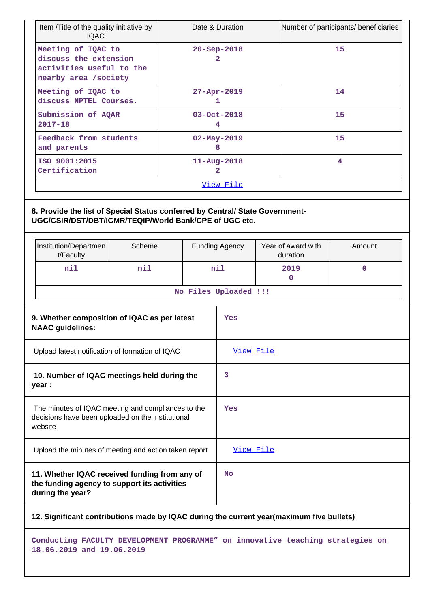| Item /Title of the quality initiative by<br>Date & Duration<br><b>IQAC</b>                                                              |                                                                                                                   |                        |                        |                  |                       | Number of participants/ beneficiaries |           |             |
|-----------------------------------------------------------------------------------------------------------------------------------------|-------------------------------------------------------------------------------------------------------------------|------------------------|------------------------|------------------|-----------------------|---------------------------------------|-----------|-------------|
| Meeting of IQAC to<br>discuss the extension<br>activities useful to the<br>nearby area /society                                         |                                                                                                                   | $20 - Sep - 2018$<br>2 |                        |                  | 15                    |                                       |           |             |
|                                                                                                                                         | Meeting of IQAC to<br>discuss NPTEL Courses.                                                                      |                        | 27-Apr-2019<br>1       |                  |                       | 14                                    |           |             |
|                                                                                                                                         | Submission of AQAR<br>$2017 - 18$                                                                                 |                        | 03-Oct-2018<br>4       |                  |                       |                                       | 15        |             |
| Feedback from students<br>and parents                                                                                                   |                                                                                                                   | $02 - May - 2019$<br>8 |                        |                  |                       | 15                                    |           |             |
|                                                                                                                                         | ISO 9001:2015<br>Certification                                                                                    |                        | $11 - Aug - 2018$<br>2 |                  |                       |                                       |           | 4           |
|                                                                                                                                         |                                                                                                                   |                        |                        | <u>View File</u> |                       |                                       |           |             |
| 8. Provide the list of Special Status conferred by Central/ State Government-<br>UGC/CSIR/DST/DBT/ICMR/TEQIP/World Bank/CPE of UGC etc. |                                                                                                                   |                        |                        |                  |                       |                                       |           |             |
|                                                                                                                                         | Scheme<br>Institution/Departmen<br>t/Faculty                                                                      |                        |                        | Funding Agency   |                       | Year of award with<br>duration        | Amount    |             |
|                                                                                                                                         | nil                                                                                                               | nil                    | nil                    |                  |                       |                                       | 2019<br>0 | $\mathbf 0$ |
|                                                                                                                                         |                                                                                                                   |                        |                        |                  | No Files Uploaded !!! |                                       |           |             |
| 9. Whether composition of IQAC as per latest<br><b>NAAC</b> guidelines:                                                                 |                                                                                                                   |                        | Yes                    |                  |                       |                                       |           |             |
|                                                                                                                                         | Upload latest notification of formation of IQAC                                                                   |                        |                        | View File        |                       |                                       |           |             |
|                                                                                                                                         | 10. Number of IQAC meetings held during the<br>year :                                                             |                        |                        | 3                |                       |                                       |           |             |
| The minutes of IQAC meeting and compliances to the<br>decisions have been uploaded on the institutional<br>website                      |                                                                                                                   |                        | Yes                    |                  |                       |                                       |           |             |
|                                                                                                                                         | Upload the minutes of meeting and action taken report                                                             |                        |                        |                  | <u>View File</u>      |                                       |           |             |
|                                                                                                                                         | 11. Whether IQAC received funding from any of<br>the funding agency to support its activities<br>during the year? |                        |                        |                  | No                    |                                       |           |             |
|                                                                                                                                         | 12. Significant contributions made by IQAC during the current year(maximum five bullets)                          |                        |                        |                  |                       |                                       |           |             |

**Conducting FACULTY DEVELOPMENT PROGRAMME" on innovative teaching strategies on 18.06.2019 and 19.06.2019**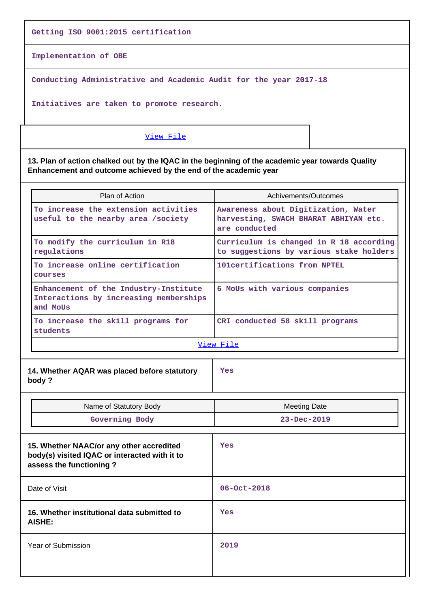**Getting ISO 9001:2015 certification**

**Implementation of OBE**

**Conducting Administrative and Academic Audit for the year 2017-18**

**Initiatives are taken to promote research.**

## [View File](https://assessmentonline.naac.gov.in/public/Postacc/Contribution/3226_Contribution.xlsx)

**13. Plan of action chalked out by the IQAC in the beginning of the academic year towards Quality Enhancement and outcome achieved by the end of the academic year**

| Plan of Action                                                                                                       | Achivements/Outcomes                                                                          |  |  |
|----------------------------------------------------------------------------------------------------------------------|-----------------------------------------------------------------------------------------------|--|--|
| To increase the extension activities<br>useful to the nearby area /society                                           | Awareness about Digitization, Water<br>harvesting, SWACH BHARAT ABHIYAN etc.<br>are conducted |  |  |
| To modify the curriculum in R18<br>regulations                                                                       | Curriculum is changed in R 18 according<br>to suggestions by various stake holders            |  |  |
| To increase online certification<br>courses                                                                          | 101 certifications from NPTEL                                                                 |  |  |
| Enhancement of the Industry-Institute<br>Interactions by increasing memberships<br>and MoUs                          | 6 MoUs with various companies                                                                 |  |  |
| To increase the skill programs for<br>students                                                                       | CRI conducted 58 skill programs                                                               |  |  |
|                                                                                                                      | View File                                                                                     |  |  |
| 14. Whether AQAR was placed before statutory<br>body?                                                                | Yes                                                                                           |  |  |
| Name of Statutory Body                                                                                               | <b>Meeting Date</b>                                                                           |  |  |
| Governing Body                                                                                                       | $23 - Dec - 2019$                                                                             |  |  |
| 15. Whether NAAC/or any other accredited<br>body(s) visited IQAC or interacted with it to<br>assess the functioning? | Yes                                                                                           |  |  |
| Date of Visit                                                                                                        | $06 - Oct - 2018$                                                                             |  |  |
| 16. Whether institutional data submitted to<br>AISHE:                                                                | Yes                                                                                           |  |  |
| <b>Year of Submission</b>                                                                                            | 2019                                                                                          |  |  |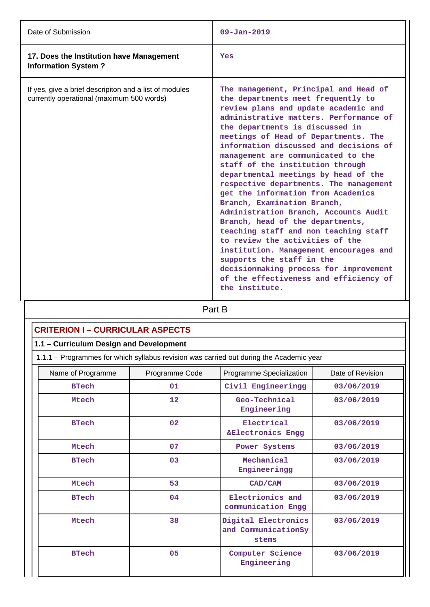| Date of Submission                                                                                  | $09 - Jan - 2019$                                                                                                                                                                                                                                                                                                                                                                                                                                                                                                                                                                                                                                                                                                                                                                                                                                         |
|-----------------------------------------------------------------------------------------------------|-----------------------------------------------------------------------------------------------------------------------------------------------------------------------------------------------------------------------------------------------------------------------------------------------------------------------------------------------------------------------------------------------------------------------------------------------------------------------------------------------------------------------------------------------------------------------------------------------------------------------------------------------------------------------------------------------------------------------------------------------------------------------------------------------------------------------------------------------------------|
| 17. Does the Institution have Management<br><b>Information System?</b>                              | Yes                                                                                                                                                                                                                                                                                                                                                                                                                                                                                                                                                                                                                                                                                                                                                                                                                                                       |
| If yes, give a brief descripiton and a list of modules<br>currently operational (maximum 500 words) | The management, Principal and Head of<br>the departments meet frequently to<br>review plans and update academic and<br>administrative matters. Performance of<br>the departments is discussed in<br>meetings of Head of Departments. The<br>information discussed and decisions of<br>management are communicated to the<br>staff of the institution through<br>departmental meetings by head of the<br>respective departments. The management<br>get the information from Academics<br>Branch, Examination Branch,<br>Administration Branch, Accounts Audit<br>Branch, head of the departments,<br>teaching staff and non teaching staff<br>to review the activities of the<br>institution. Management encourages and<br>supports the staff in the<br>decisionmaking process for improvement<br>of the effectiveness and efficiency of<br>the institute. |

| Part B |
|--------|
|        |

| <b>CRITERION I - CURRICULAR ASPECTS</b>                                                 |                                         |                                                     |                  |  |  |  |
|-----------------------------------------------------------------------------------------|-----------------------------------------|-----------------------------------------------------|------------------|--|--|--|
|                                                                                         | 1.1 - Curriculum Design and Development |                                                     |                  |  |  |  |
| 1.1.1 - Programmes for which syllabus revision was carried out during the Academic year |                                         |                                                     |                  |  |  |  |
| Name of Programme                                                                       | Programme Code                          | Programme Specialization                            | Date of Revision |  |  |  |
| <b>BTech</b>                                                                            | 01                                      | Civil Engineeringg                                  | 03/06/2019       |  |  |  |
| Mtech                                                                                   | 12                                      | Geo-Technical<br>Engineering                        | 03/06/2019       |  |  |  |
| <b>BTech</b>                                                                            | 02                                      | Electrical<br>&Electronics Engg                     | 03/06/2019       |  |  |  |
| Mtech                                                                                   | 07                                      | Power Systems                                       | 03/06/2019       |  |  |  |
| <b>BTech</b>                                                                            | 03                                      | Mechanical<br>Engineeringg                          | 03/06/2019       |  |  |  |
| Mtech                                                                                   | 53                                      | CAD/CAM                                             | 03/06/2019       |  |  |  |
| <b>BTech</b>                                                                            | 04                                      | Electrionics and<br>communication Engg              | 03/06/2019       |  |  |  |
| Mtech                                                                                   | 38                                      | Digital Electronics<br>and CommunicationSy<br>stems | 03/06/2019       |  |  |  |
| <b>BTech</b>                                                                            | 05                                      | Computer Science<br>Engineering                     | 03/06/2019       |  |  |  |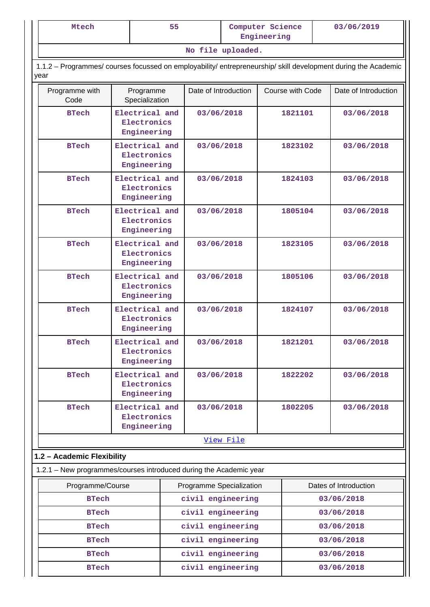| Mtech                                                                                                                  |                                              | 55         | Computer Science<br>Engineering               |            |                          |            | 03/06/2019           |
|------------------------------------------------------------------------------------------------------------------------|----------------------------------------------|------------|-----------------------------------------------|------------|--------------------------|------------|----------------------|
|                                                                                                                        |                                              |            | No file uploaded.                             |            |                          |            |                      |
| 1.1.2 - Programmes/ courses focussed on employability/ entrepreneurship/ skill development during the Academic<br>year |                                              |            |                                               |            |                          |            |                      |
| Programme with<br>Code                                                                                                 | Programme<br>Specialization                  |            | Date of Introduction                          |            | Course with Code         |            | Date of Introduction |
| <b>BTech</b>                                                                                                           | Electrical and<br>Electronics<br>Engineering |            |                                               | 03/06/2018 | 1821101                  |            | 03/06/2018           |
| <b>BTech</b>                                                                                                           | Electrical and<br>Electronics<br>Engineering |            | 03/06/2018                                    |            | 1823102                  |            | 03/06/2018           |
| <b>BTech</b>                                                                                                           | Electrical and<br>Electronics<br>Engineering |            | 03/06/2018                                    |            | 1824103                  |            | 03/06/2018           |
| <b>BTech</b>                                                                                                           | Electrical and<br>Electronics<br>Engineering |            | 03/06/2018                                    |            | 1805104                  |            | 03/06/2018           |
| <b>BTech</b>                                                                                                           | Electrical and<br>Electronics<br>Engineering | 03/06/2018 |                                               | 1823105    |                          |            | 03/06/2018           |
| <b>BTech</b>                                                                                                           | Electrical and<br>Electronics<br>Engineering |            | 03/06/2018                                    |            | 1805106                  |            | 03/06/2018           |
| <b>BTech</b>                                                                                                           | Electrical and<br>Electronics<br>Engineering |            |                                               | 03/06/2018 |                          | 1824107    | 03/06/2018           |
| <b>BTech</b>                                                                                                           | Electrical and<br>Electronics<br>Engineering |            | 03/06/2018                                    |            | 1821201                  |            | 03/06/2018           |
| <b>BTech</b>                                                                                                           | Electrical and<br>Electronics<br>Engineering |            | 03/06/2018                                    |            | 1822202                  |            | 03/06/2018           |
| <b>BTech</b>                                                                                                           | Electrical and<br>Electronics<br>Engineering |            | 03/06/2018                                    |            | 1802205                  |            | 03/06/2018           |
|                                                                                                                        |                                              |            |                                               | View File  |                          |            |                      |
| 1.2 - Academic Flexibility                                                                                             |                                              |            |                                               |            |                          |            |                      |
| 1.2.1 - New programmes/courses introduced during the Academic year                                                     |                                              |            |                                               |            |                          |            |                      |
| Programme/Course<br><b>BTech</b>                                                                                       |                                              |            | Programme Specialization<br>civil engineering |            | Dates of Introduction    |            |                      |
| <b>BTech</b>                                                                                                           |                                              |            | civil engineering                             |            | 03/06/2018<br>03/06/2018 |            |                      |
| <b>BTech</b>                                                                                                           |                                              |            | civil engineering                             |            |                          |            | 03/06/2018           |
| <b>BTech</b>                                                                                                           |                                              |            | civil engineering                             |            |                          |            | 03/06/2018           |
| <b>BTech</b>                                                                                                           |                                              |            | civil engineering                             |            |                          |            | 03/06/2018           |
| <b>BTech</b>                                                                                                           |                                              |            | civil engineering                             |            |                          | 03/06/2018 |                      |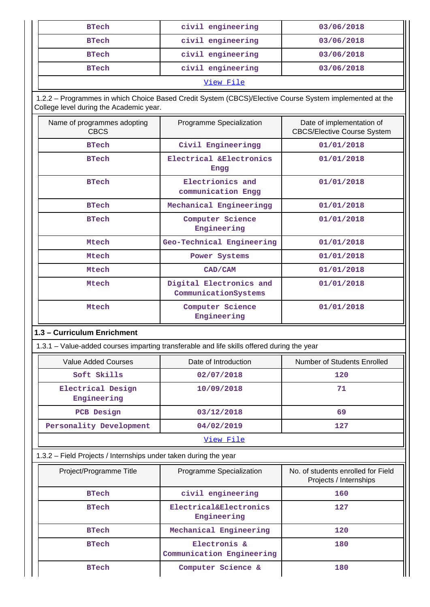| <b>BTech</b> | civil engineering | 03/06/2018 |  |
|--------------|-------------------|------------|--|
| <b>BTech</b> | civil engineering | 03/06/2018 |  |
| <b>BTech</b> | civil engineering | 03/06/2018 |  |
| <b>BTech</b> | civil engineering | 03/06/2018 |  |
| View File    |                   |            |  |

 1.2.2 – Programmes in which Choice Based Credit System (CBCS)/Elective Course System implemented at the College level during the Academic year.

| Name of programmes adopting<br><b>CBCS</b> | Programme Specialization                        | Date of implementation of<br><b>CBCS/Elective Course System</b> |
|--------------------------------------------|-------------------------------------------------|-----------------------------------------------------------------|
| <b>BTech</b>                               | Civil Engineeringg                              | 01/01/2018                                                      |
| <b>BTech</b>                               | Electrical & Electronics<br>Engg                | 01/01/2018                                                      |
| <b>BTech</b>                               | Electrionics and<br>communication Engg          | 01/01/2018                                                      |
| <b>BTech</b>                               | Mechanical Engineeringg                         | 01/01/2018                                                      |
| <b>BTech</b>                               | Computer Science<br>Engineering                 | 01/01/2018                                                      |
| Mtech                                      | Geo-Technical Engineering                       | 01/01/2018                                                      |
| Mtech                                      | Power Systems                                   | 01/01/2018                                                      |
| Mtech                                      | CAD/CAM                                         | 01/01/2018                                                      |
| Mtech                                      | Digital Electronics and<br>CommunicationSystems | 01/01/2018                                                      |
| Mtech                                      | Computer Science<br>Engineering                 | 01/01/2018                                                      |

## **1.3 – Curriculum Enrichment**

1.3.1 – Value-added courses imparting transferable and life skills offered during the year

| Value Added Courses              | Date of Introduction | Number of Students Enrolled |  |
|----------------------------------|----------------------|-----------------------------|--|
| Soft Skills                      | 02/07/2018           | 120                         |  |
| Electrical Design<br>Engineering | 10/09/2018           | 71                          |  |
| PCB Design                       | 03/12/2018           | 69                          |  |
| Personality Development          | 04/02/2019           | 127                         |  |
| View File                        |                      |                             |  |

## 1.3.2 – Field Projects / Internships under taken during the year

| Project/Programme Title | Programme Specialization                  | No. of students enrolled for Field<br>Projects / Internships |
|-------------------------|-------------------------------------------|--------------------------------------------------------------|
| <b>BTech</b>            | civil engineering                         | 160                                                          |
| <b>BTech</b>            | Electrical&Electronics<br>Engineering     | 127                                                          |
| <b>BTech</b>            | Mechanical Engineering                    | 120                                                          |
| <b>BTech</b>            | Electronis &<br>Communication Engineering | 180                                                          |
| <b>BTech</b>            | Computer Science &                        | 180                                                          |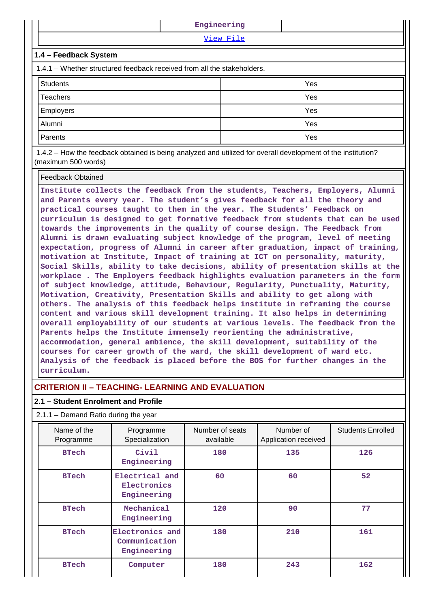| View File<br>1.4 - Feedback System<br>1.4.1 – Whether structured feedback received from all the stakeholders.<br><b>Students</b><br>Yes<br>Yes<br><b>Teachers</b><br>Employers<br>Yes<br>Yes<br>Alumni |  | Engineering |  |  |  |  |  |  |  |
|--------------------------------------------------------------------------------------------------------------------------------------------------------------------------------------------------------|--|-------------|--|--|--|--|--|--|--|
|                                                                                                                                                                                                        |  |             |  |  |  |  |  |  |  |
|                                                                                                                                                                                                        |  |             |  |  |  |  |  |  |  |
|                                                                                                                                                                                                        |  |             |  |  |  |  |  |  |  |
|                                                                                                                                                                                                        |  |             |  |  |  |  |  |  |  |
|                                                                                                                                                                                                        |  |             |  |  |  |  |  |  |  |
|                                                                                                                                                                                                        |  |             |  |  |  |  |  |  |  |
|                                                                                                                                                                                                        |  |             |  |  |  |  |  |  |  |
| Yes<br>Parents                                                                                                                                                                                         |  |             |  |  |  |  |  |  |  |

 1.4.2 – How the feedback obtained is being analyzed and utilized for overall development of the institution? (maximum 500 words)

#### Feedback Obtained

**Institute collects the feedback from the students, Teachers, Employers, Alumni and Parents every year. The student's gives feedback for all the theory and practical courses taught to them in the year. The Students' Feedback on curriculum is designed to get formative feedback from students that can be used towards the improvements in the quality of course design. The Feedback from Alumni is drawn evaluating subject knowledge of the program, level of meeting expectation, progress of Alumni in career after graduation, impact of training, motivation at Institute, Impact of training at ICT on personality, maturity, Social Skills, ability to take decisions, ability of presentation skills at the workplace . The Employers feedback highlights evaluation parameters in the form of subject knowledge, attitude, Behaviour, Regularity, Punctuality, Maturity, Motivation, Creativity, Presentation Skills and ability to get along with others. The analysis of this feedback helps institute in reframing the course content and various skill development training. It also helps in determining overall employability of our students at various levels. The feedback from the Parents helps the Institute immensely reorienting the administrative, accommodation, general ambience, the skill development, suitability of the courses for career growth of the ward, the skill development of ward etc. Analysis of the feedback is placed before the BOS for further changes in the curriculum.**

## **CRITERION II – TEACHING- LEARNING AND EVALUATION**

## **2.1 – Student Enrolment and Profile**

## 2.1.1 – Demand Ratio during the year

| Name of the<br>Programme | Programme<br>Specialization                     | Number of seats<br>Number of<br>Application received<br>available |     | <b>Students Enrolled</b> |
|--------------------------|-------------------------------------------------|-------------------------------------------------------------------|-----|--------------------------|
| <b>BTech</b>             | Civil<br>180<br>Engineering                     |                                                                   | 135 | 126                      |
| <b>BTech</b>             | Electrical and<br>Electronics<br>Engineering    | 60                                                                | 60  | 52                       |
| <b>BTech</b>             | Mechanical<br>Engineering                       | 120                                                               | 90  | 77                       |
| <b>BTech</b>             | Electronics and<br>Communication<br>Engineering | 180                                                               | 210 | 161                      |
| <b>BTech</b>             | Computer                                        | 180                                                               | 243 | 162                      |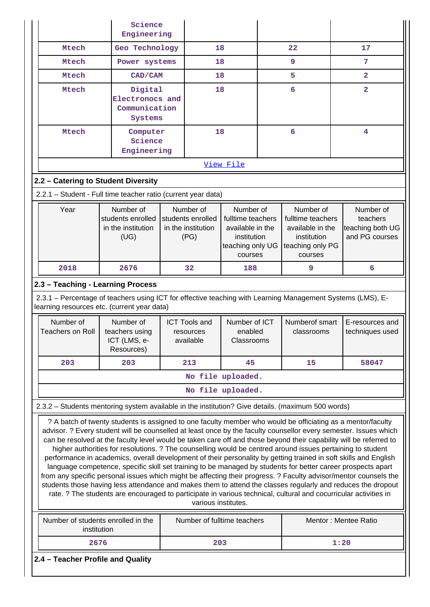| Science<br>Engineering |                                                                                                                                                                                                                                                                                                                                                                                                                                                                                                                                                                                                                                                                                                                                                                                                                                                                                                                                                                                                                                                                                        |                                              |  |                            |                                 |  |                                 |      |                                    |
|------------------------|----------------------------------------------------------------------------------------------------------------------------------------------------------------------------------------------------------------------------------------------------------------------------------------------------------------------------------------------------------------------------------------------------------------------------------------------------------------------------------------------------------------------------------------------------------------------------------------------------------------------------------------------------------------------------------------------------------------------------------------------------------------------------------------------------------------------------------------------------------------------------------------------------------------------------------------------------------------------------------------------------------------------------------------------------------------------------------------|----------------------------------------------|--|----------------------------|---------------------------------|--|---------------------------------|------|------------------------------------|
|                        | Mtech                                                                                                                                                                                                                                                                                                                                                                                                                                                                                                                                                                                                                                                                                                                                                                                                                                                                                                                                                                                                                                                                                  | Geo Technology                               |  | 18                         |                                 |  | 22                              |      | 17                                 |
|                        | Mtech                                                                                                                                                                                                                                                                                                                                                                                                                                                                                                                                                                                                                                                                                                                                                                                                                                                                                                                                                                                                                                                                                  | Power systems                                |  | 18                         |                                 |  | 9                               |      | 7                                  |
|                        | Mtech                                                                                                                                                                                                                                                                                                                                                                                                                                                                                                                                                                                                                                                                                                                                                                                                                                                                                                                                                                                                                                                                                  | CAD/CAM                                      |  | 18                         |                                 |  | 5                               |      | $\overline{2}$                     |
|                        | Mtech                                                                                                                                                                                                                                                                                                                                                                                                                                                                                                                                                                                                                                                                                                                                                                                                                                                                                                                                                                                                                                                                                  | Digital                                      |  | 18                         |                                 |  | 6                               |      | $\overline{2}$                     |
|                        |                                                                                                                                                                                                                                                                                                                                                                                                                                                                                                                                                                                                                                                                                                                                                                                                                                                                                                                                                                                                                                                                                        | Electronocs and<br>Communication             |  |                            |                                 |  |                                 |      |                                    |
|                        |                                                                                                                                                                                                                                                                                                                                                                                                                                                                                                                                                                                                                                                                                                                                                                                                                                                                                                                                                                                                                                                                                        | Systems                                      |  |                            |                                 |  |                                 |      |                                    |
|                        | Mtech                                                                                                                                                                                                                                                                                                                                                                                                                                                                                                                                                                                                                                                                                                                                                                                                                                                                                                                                                                                                                                                                                  | Computer                                     |  | 18                         |                                 |  | 6                               |      | 4                                  |
|                        |                                                                                                                                                                                                                                                                                                                                                                                                                                                                                                                                                                                                                                                                                                                                                                                                                                                                                                                                                                                                                                                                                        | Science<br>Engineering                       |  |                            |                                 |  |                                 |      |                                    |
|                        |                                                                                                                                                                                                                                                                                                                                                                                                                                                                                                                                                                                                                                                                                                                                                                                                                                                                                                                                                                                                                                                                                        |                                              |  |                            | View File                       |  |                                 |      |                                    |
|                        | 2.2 - Catering to Student Diversity                                                                                                                                                                                                                                                                                                                                                                                                                                                                                                                                                                                                                                                                                                                                                                                                                                                                                                                                                                                                                                                    |                                              |  |                            |                                 |  |                                 |      |                                    |
|                        | 2.2.1 - Student - Full time teacher ratio (current year data)                                                                                                                                                                                                                                                                                                                                                                                                                                                                                                                                                                                                                                                                                                                                                                                                                                                                                                                                                                                                                          |                                              |  |                            |                                 |  |                                 |      |                                    |
|                        | Year                                                                                                                                                                                                                                                                                                                                                                                                                                                                                                                                                                                                                                                                                                                                                                                                                                                                                                                                                                                                                                                                                   | Number of                                    |  | Number of                  | Number of                       |  | Number of                       |      | Number of                          |
|                        |                                                                                                                                                                                                                                                                                                                                                                                                                                                                                                                                                                                                                                                                                                                                                                                                                                                                                                                                                                                                                                                                                        | students enrolled                            |  | students enrolled          | fulltime teachers               |  | fulltime teachers               |      | teachers                           |
|                        |                                                                                                                                                                                                                                                                                                                                                                                                                                                                                                                                                                                                                                                                                                                                                                                                                                                                                                                                                                                                                                                                                        | in the institution<br>(UG)                   |  | in the institution<br>(PG) | available in the<br>institution |  | available in the<br>institution |      | teaching both UG<br>and PG courses |
|                        |                                                                                                                                                                                                                                                                                                                                                                                                                                                                                                                                                                                                                                                                                                                                                                                                                                                                                                                                                                                                                                                                                        |                                              |  |                            | teaching only UG                |  | teaching only PG<br>courses     |      |                                    |
|                        | 2018                                                                                                                                                                                                                                                                                                                                                                                                                                                                                                                                                                                                                                                                                                                                                                                                                                                                                                                                                                                                                                                                                   | 2676                                         |  | courses<br>32<br>188       |                                 |  | 9                               |      | 6                                  |
|                        |                                                                                                                                                                                                                                                                                                                                                                                                                                                                                                                                                                                                                                                                                                                                                                                                                                                                                                                                                                                                                                                                                        |                                              |  |                            |                                 |  |                                 |      |                                    |
|                        | 2.3 - Teaching - Learning Process<br>2.3.1 – Percentage of teachers using ICT for effective teaching with Learning Management Systems (LMS), E-<br>learning resources etc. (current year data)                                                                                                                                                                                                                                                                                                                                                                                                                                                                                                                                                                                                                                                                                                                                                                                                                                                                                         |                                              |  |                            |                                 |  |                                 |      |                                    |
|                        | Number of                                                                                                                                                                                                                                                                                                                                                                                                                                                                                                                                                                                                                                                                                                                                                                                                                                                                                                                                                                                                                                                                              | Number of                                    |  | <b>ICT Tools and</b>       | Number of ICT                   |  | Numberof smart                  |      | E-resources and                    |
|                        | <b>Teachers on Roll</b>                                                                                                                                                                                                                                                                                                                                                                                                                                                                                                                                                                                                                                                                                                                                                                                                                                                                                                                                                                                                                                                                | teachers using<br>ICT (LMS, e-<br>Resources) |  | resources<br>available     | enabled<br>Classrooms           |  | classrooms                      |      | techniques used                    |
|                        | 203                                                                                                                                                                                                                                                                                                                                                                                                                                                                                                                                                                                                                                                                                                                                                                                                                                                                                                                                                                                                                                                                                    | 203                                          |  | 213                        | 45                              |  | 15                              |      | 58047                              |
|                        |                                                                                                                                                                                                                                                                                                                                                                                                                                                                                                                                                                                                                                                                                                                                                                                                                                                                                                                                                                                                                                                                                        |                                              |  |                            | No file uploaded.               |  |                                 |      |                                    |
|                        |                                                                                                                                                                                                                                                                                                                                                                                                                                                                                                                                                                                                                                                                                                                                                                                                                                                                                                                                                                                                                                                                                        |                                              |  |                            | No file uploaded.               |  |                                 |      |                                    |
|                        | 2.3.2 - Students mentoring system available in the institution? Give details. (maximum 500 words)                                                                                                                                                                                                                                                                                                                                                                                                                                                                                                                                                                                                                                                                                                                                                                                                                                                                                                                                                                                      |                                              |  |                            |                                 |  |                                 |      |                                    |
|                        | ? A batch of twenty students is assigned to one faculty member who would be officiating as a mentor/faculty<br>advisor. ? Every student will be counselled at least once by the faculty counsellor every semester. Issues which<br>can be resolved at the faculty level would be taken care off and those beyond their capability will be referred to<br>higher authorities for resolutions. ? The counselling would be centred around issues pertaining to student<br>performance in academics, overall development of their personality by getting trained in soft skills and English<br>language competence, specific skill set training to be managed by students for better career prospects apart<br>from any specific personal issues which might be affecting their progress. ? Faculty advisor/mentor counsels the<br>students those having less attendance and makes them to attend the classes regularly and reduces the dropout<br>rate. ? The students are encouraged to participate in various technical, cultural and cocurricular activities in<br>various institutes. |                                              |  |                            |                                 |  |                                 |      |                                    |
|                        | Number of students enrolled in the<br>institution                                                                                                                                                                                                                                                                                                                                                                                                                                                                                                                                                                                                                                                                                                                                                                                                                                                                                                                                                                                                                                      |                                              |  |                            | Number of fulltime teachers     |  |                                 |      | Mentor: Mentee Ratio               |
|                        | 2676                                                                                                                                                                                                                                                                                                                                                                                                                                                                                                                                                                                                                                                                                                                                                                                                                                                                                                                                                                                                                                                                                   |                                              |  | 203                        |                                 |  |                                 | 1:20 |                                    |
|                        | 2.4 - Teacher Profile and Quality                                                                                                                                                                                                                                                                                                                                                                                                                                                                                                                                                                                                                                                                                                                                                                                                                                                                                                                                                                                                                                                      |                                              |  |                            |                                 |  |                                 |      |                                    |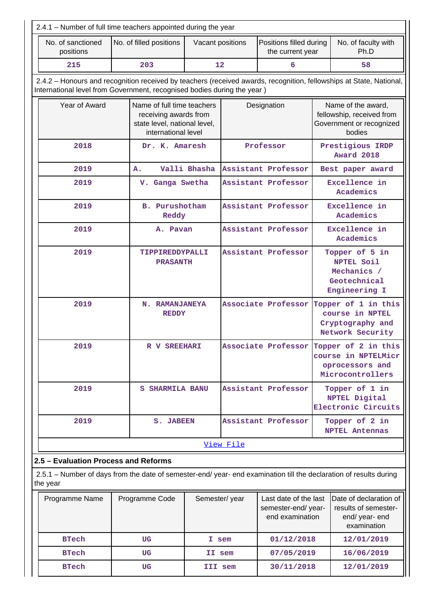| 2.4.1 – Number of full time teachers appointed during the year                                                                                                                                 |                                                                                                                       |                                |                     |           |                            |  |                                                                                       |  |  |
|------------------------------------------------------------------------------------------------------------------------------------------------------------------------------------------------|-----------------------------------------------------------------------------------------------------------------------|--------------------------------|---------------------|-----------|----------------------------|--|---------------------------------------------------------------------------------------|--|--|
| No. of sanctioned<br>No. of filled positions<br>Positions filled during<br>No. of faculty with<br>Vacant positions<br>positions<br>Ph.D<br>the current year                                    |                                                                                                                       |                                |                     |           |                            |  |                                                                                       |  |  |
| 215                                                                                                                                                                                            | 12<br>203<br>6<br>58                                                                                                  |                                |                     |           |                            |  |                                                                                       |  |  |
| 2.4.2 – Honours and recognition received by teachers (received awards, recognition, fellowships at State, National,<br>International level from Government, recognised bodies during the year) |                                                                                                                       |                                |                     |           |                            |  |                                                                                       |  |  |
| Year of Award                                                                                                                                                                                  | Name of full time teachers<br>receiving awards from<br>state level, national level,<br>international level            |                                |                     |           | Designation                |  | Name of the award,<br>fellowship, received from<br>Government or recognized<br>bodies |  |  |
| 2018                                                                                                                                                                                           |                                                                                                                       | Dr. K. Amaresh                 |                     |           | Professor                  |  | Prestigious IRDP<br>Award 2018                                                        |  |  |
| 2019                                                                                                                                                                                           |                                                                                                                       | A.                             | Valli Bhasha        |           | Assistant Professor        |  | Best paper award                                                                      |  |  |
| Excellence in<br>2019<br>Assistant Professor<br>V. Ganga Swetha<br>Academics                                                                                                                   |                                                                                                                       |                                |                     |           |                            |  |                                                                                       |  |  |
| 2019                                                                                                                                                                                           | <b>B.</b> Purushotham<br>Reddy                                                                                        |                                | Assistant Professor |           | Excellence in<br>Academics |  |                                                                                       |  |  |
| Assistant Professor<br>Excellence in<br>2019<br>A. Pavan<br>Academics                                                                                                                          |                                                                                                                       |                                |                     |           |                            |  |                                                                                       |  |  |
| 2019<br>Assistant Professor<br>Topper of 5 in<br>TIPPIREDDYPALLI<br>NPTEL Soil<br><b>PRASANTH</b><br>Mechanics /<br>Geotechnical                                                               |                                                                                                                       |                                |                     |           |                            |  | Engineering I                                                                         |  |  |
| 2019                                                                                                                                                                                           |                                                                                                                       | N. RAMANJANEYA<br><b>REDDY</b> |                     |           | Associate Professor        |  | Topper of 1 in this<br>course in NPTEL<br>Cryptography and<br>Network Security        |  |  |
| 2019                                                                                                                                                                                           | Associate Professor Topper of 2 in this<br>R V SREEHARI<br>course in NPTELMicr<br>oprocessors and<br>Microcontrollers |                                |                     |           |                            |  |                                                                                       |  |  |
| 2019<br><b>S SHARMILA BANU</b>                                                                                                                                                                 |                                                                                                                       |                                |                     |           | Assistant Professor        |  | Topper of 1 in<br>NPTEL Digital<br>Electronic Circuits                                |  |  |
| 2019                                                                                                                                                                                           | Assistant Professor<br>Topper of 2 in<br><b>S. JABEEN</b><br><b>NPTEL Antennas</b>                                    |                                |                     |           |                            |  |                                                                                       |  |  |
|                                                                                                                                                                                                |                                                                                                                       |                                |                     | View File |                            |  |                                                                                       |  |  |
| 2.5 - Evaluation Process and Reforms                                                                                                                                                           |                                                                                                                       |                                |                     |           |                            |  |                                                                                       |  |  |
| 2.5.1 – Number of days from the date of semester-end/ year- end examination till the declaration of results during<br>the year                                                                 |                                                                                                                       |                                |                     |           |                            |  |                                                                                       |  |  |

| Programme Name | Programme Code | Semester/year | Last date of the last<br>semester-end/year-<br>end examination | Date of declaration of<br>results of semester-<br>end/year-end<br>examination |
|----------------|----------------|---------------|----------------------------------------------------------------|-------------------------------------------------------------------------------|
| <b>BTech</b>   | UG             | I sem         | 01/12/2018                                                     | 12/01/2019                                                                    |
| <b>BTech</b>   | UG             | II sem        | 07/05/2019                                                     | 16/06/2019                                                                    |
| <b>BTech</b>   | UG             | III sem       | 30/11/2018                                                     | 12/01/2019                                                                    |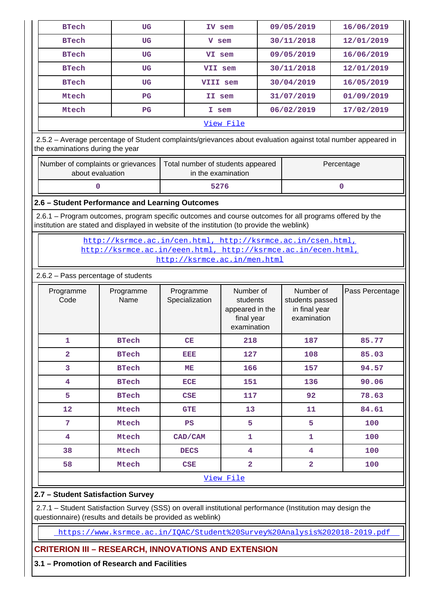| 09/05/2019<br><b>BTech</b><br>16/06/2019<br>UG<br>IV sem                                                                                                                                                                          |                                                                                                                                                                                                                                                           |             |                                                                           |                |       |  |  |  |  |  |  |
|-----------------------------------------------------------------------------------------------------------------------------------------------------------------------------------------------------------------------------------|-----------------------------------------------------------------------------------------------------------------------------------------------------------------------------------------------------------------------------------------------------------|-------------|---------------------------------------------------------------------------|----------------|-------|--|--|--|--|--|--|
| 30/11/2018<br>12/01/2019<br><b>BTech</b><br>UG<br>V sem                                                                                                                                                                           |                                                                                                                                                                                                                                                           |             |                                                                           |                |       |  |  |  |  |  |  |
| 09/05/2019<br>16/06/2019<br><b>BTech</b><br><b>UG</b><br>VI sem                                                                                                                                                                   |                                                                                                                                                                                                                                                           |             |                                                                           |                |       |  |  |  |  |  |  |
| <b>BTech</b>                                                                                                                                                                                                                      | <b>UG</b>                                                                                                                                                                                                                                                 | VII sem     | 30/11/2018<br>12/01/2019                                                  |                |       |  |  |  |  |  |  |
| <b>BTech</b>                                                                                                                                                                                                                      | 30/04/2019<br>16/05/2019<br>UG<br>VIII sem                                                                                                                                                                                                                |             |                                                                           |                |       |  |  |  |  |  |  |
| Mtech                                                                                                                                                                                                                             | 31/07/2019<br>01/09/2019<br>$_{\rm PG}$<br>II sem                                                                                                                                                                                                         |             |                                                                           |                |       |  |  |  |  |  |  |
| 06/02/2019<br>17/02/2019<br>Mtech<br>$_{\rm PG}$<br>I sem                                                                                                                                                                         |                                                                                                                                                                                                                                                           |             |                                                                           |                |       |  |  |  |  |  |  |
| View File                                                                                                                                                                                                                         |                                                                                                                                                                                                                                                           |             |                                                                           |                |       |  |  |  |  |  |  |
| 2.5.2 - Average percentage of Student complaints/grievances about evaluation against total number appeared in<br>the examinations during the year                                                                                 |                                                                                                                                                                                                                                                           |             |                                                                           |                |       |  |  |  |  |  |  |
| Number of complaints or grievances<br>Percentage<br>Total number of students appeared<br>about evaluation<br>in the examination                                                                                                   |                                                                                                                                                                                                                                                           |             |                                                                           |                |       |  |  |  |  |  |  |
| 0                                                                                                                                                                                                                                 | 5276<br>$\mathbf 0$                                                                                                                                                                                                                                       |             |                                                                           |                |       |  |  |  |  |  |  |
|                                                                                                                                                                                                                                   |                                                                                                                                                                                                                                                           |             |                                                                           |                |       |  |  |  |  |  |  |
|                                                                                                                                                                                                                                   | 2.6 - Student Performance and Learning Outcomes<br>2.6.1 – Program outcomes, program specific outcomes and course outcomes for all programs offered by the<br>institution are stated and displayed in website of the institution (to provide the weblink) |             |                                                                           |                |       |  |  |  |  |  |  |
| http://ksrmce.ac.in/cen.html, http://ksrmce.ac.in/csen.html,<br>http://ksrmce.ac.in/eeen.html, http://ksrmce.ac.in/ecen.html,<br>http://ksrmce.ac.in/men.html                                                                     |                                                                                                                                                                                                                                                           |             |                                                                           |                |       |  |  |  |  |  |  |
| 2.6.2 - Pass percentage of students                                                                                                                                                                                               |                                                                                                                                                                                                                                                           |             |                                                                           |                |       |  |  |  |  |  |  |
| Number of<br>Number of<br>Pass Percentage<br>Programme<br>Programme<br>Programme<br>Code<br>Name<br>Specialization<br>students passed<br>students<br>appeared in the<br>in final year<br>final year<br>examination<br>examination |                                                                                                                                                                                                                                                           |             |                                                                           |                |       |  |  |  |  |  |  |
| $\mathbf{1}$                                                                                                                                                                                                                      | <b>BTech</b>                                                                                                                                                                                                                                              | CE          | 218                                                                       | 187            | 85.77 |  |  |  |  |  |  |
| $\overline{a}$                                                                                                                                                                                                                    | <b>BTech</b>                                                                                                                                                                                                                                              | EEE         | 127                                                                       | 108            | 85.03 |  |  |  |  |  |  |
| 3                                                                                                                                                                                                                                 | <b>BTech</b>                                                                                                                                                                                                                                              | MЕ          | 166                                                                       | 157            | 94.57 |  |  |  |  |  |  |
| 4                                                                                                                                                                                                                                 | <b>BTech</b>                                                                                                                                                                                                                                              | <b>ECE</b>  | 151                                                                       | 136            | 90.06 |  |  |  |  |  |  |
| 5                                                                                                                                                                                                                                 | <b>BTech</b>                                                                                                                                                                                                                                              | CSE         | 117                                                                       | 92             | 78.63 |  |  |  |  |  |  |
| 12                                                                                                                                                                                                                                | Mtech                                                                                                                                                                                                                                                     | <b>GTE</b>  | 13                                                                        | 11             | 84.61 |  |  |  |  |  |  |
| 7                                                                                                                                                                                                                                 | Mtech                                                                                                                                                                                                                                                     | PS          | 5                                                                         | 5              | 100   |  |  |  |  |  |  |
| 4                                                                                                                                                                                                                                 | Mtech                                                                                                                                                                                                                                                     | CAD/CAM     | 1                                                                         | 1              | 100   |  |  |  |  |  |  |
| 38                                                                                                                                                                                                                                | Mtech                                                                                                                                                                                                                                                     | <b>DECS</b> | 4                                                                         | $\overline{4}$ | 100   |  |  |  |  |  |  |
| 58<br>$\overline{\mathbf{2}}$<br>$\overline{\mathbf{2}}$<br>Mtech<br><b>CSE</b><br>100                                                                                                                                            |                                                                                                                                                                                                                                                           |             |                                                                           |                |       |  |  |  |  |  |  |
| View File                                                                                                                                                                                                                         |                                                                                                                                                                                                                                                           |             |                                                                           |                |       |  |  |  |  |  |  |
| 2.7 - Student Satisfaction Survey                                                                                                                                                                                                 |                                                                                                                                                                                                                                                           |             |                                                                           |                |       |  |  |  |  |  |  |
| 2.7.1 - Student Satisfaction Survey (SSS) on overall institutional performance (Institution may design the<br>questionnaire) (results and details be provided as weblink)                                                         |                                                                                                                                                                                                                                                           |             |                                                                           |                |       |  |  |  |  |  |  |
|                                                                                                                                                                                                                                   |                                                                                                                                                                                                                                                           |             | https://www.ksrmce.ac.in/IOAC/Student%20Survey%20Analysis%202018-2019.pdf |                |       |  |  |  |  |  |  |
| <b>CRITERION III - RESEARCH, INNOVATIONS AND EXTENSION</b>                                                                                                                                                                        |                                                                                                                                                                                                                                                           |             |                                                                           |                |       |  |  |  |  |  |  |

**3.1 – Promotion of Research and Facilities**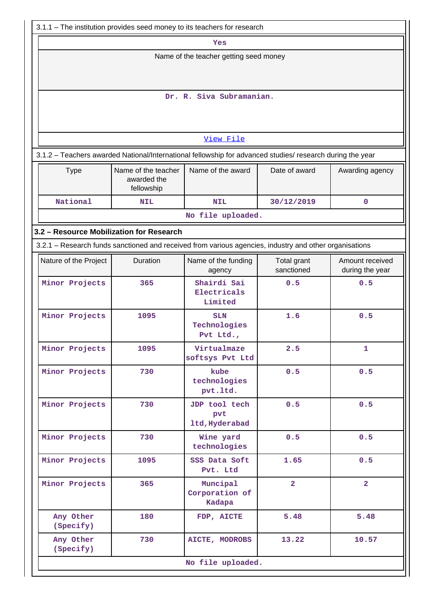| 3.1.1 – The institution provides seed money to its teachers for research                                                              |            |                                        |            |             |  |  |  |  |  |  |  |
|---------------------------------------------------------------------------------------------------------------------------------------|------------|----------------------------------------|------------|-------------|--|--|--|--|--|--|--|
| Yes                                                                                                                                   |            |                                        |            |             |  |  |  |  |  |  |  |
| Name of the teacher getting seed money                                                                                                |            |                                        |            |             |  |  |  |  |  |  |  |
|                                                                                                                                       |            |                                        |            |             |  |  |  |  |  |  |  |
| Dr. R. Siva Subramanian.                                                                                                              |            |                                        |            |             |  |  |  |  |  |  |  |
| View File                                                                                                                             |            |                                        |            |             |  |  |  |  |  |  |  |
| 3.1.2 - Teachers awarded National/International fellowship for advanced studies/ research during the year                             |            |                                        |            |             |  |  |  |  |  |  |  |
| Name of the award<br>Name of the teacher<br>Date of award<br>Awarding agency<br><b>Type</b><br>awarded the<br>fellowship              |            |                                        |            |             |  |  |  |  |  |  |  |
| National                                                                                                                              | <b>NIL</b> | <b>NIL</b>                             | 30/12/2019 | $\mathbf 0$ |  |  |  |  |  |  |  |
|                                                                                                                                       |            | No file uploaded.                      |            |             |  |  |  |  |  |  |  |
| 3.2 - Resource Mobilization for Research                                                                                              |            |                                        |            |             |  |  |  |  |  |  |  |
| 3.2.1 - Research funds sanctioned and received from various agencies, industry and other organisations                                |            |                                        |            |             |  |  |  |  |  |  |  |
| Amount received<br>Nature of the Project<br>Duration<br>Name of the funding<br>Total grant<br>sanctioned<br>during the year<br>agency |            |                                        |            |             |  |  |  |  |  |  |  |
| Minor Projects<br>Shairdi Sai<br>0.5<br>365<br>0.5<br>Electricals<br>Limited                                                          |            |                                        |            |             |  |  |  |  |  |  |  |
| 0.5<br>Minor Projects<br>1095<br>1.6<br><b>SLN</b><br>Technologies<br>Pvt Ltd.,                                                       |            |                                        |            |             |  |  |  |  |  |  |  |
| Minor Projects                                                                                                                        | 1095       | Virtualmaze<br>softsys Pvt Ltd         | 2.5        | 1           |  |  |  |  |  |  |  |
| Minor Projects                                                                                                                        | 730        | kube<br>technologies<br>pvt.1td.       | 0.5        | 0.5         |  |  |  |  |  |  |  |
| Minor Projects                                                                                                                        | 730        | JDP tool tech<br>pvt<br>ltd, Hyderabad | 0.5        | 0.5         |  |  |  |  |  |  |  |
| Minor Projects                                                                                                                        | 730        | Wine yard<br>technologies              | 0.5        | 0.5         |  |  |  |  |  |  |  |
| Minor Projects                                                                                                                        | 1095       | SSS Data Soft<br>Pvt. Ltd              | 1.65       | 0.5         |  |  |  |  |  |  |  |
| $\overline{a}$<br>Minor Projects<br>365<br>$\overline{2}$<br>Muncipal<br>Corporation of<br>Kadapa                                     |            |                                        |            |             |  |  |  |  |  |  |  |
| Any Other<br>(Specify)                                                                                                                | 180        | FDP, AICTE                             | 5.48       | 5.48        |  |  |  |  |  |  |  |
| Any Other<br>(Specify)                                                                                                                | 730        | AICTE, MODROBS                         | 13.22      | 10.57       |  |  |  |  |  |  |  |
| No file uploaded.                                                                                                                     |            |                                        |            |             |  |  |  |  |  |  |  |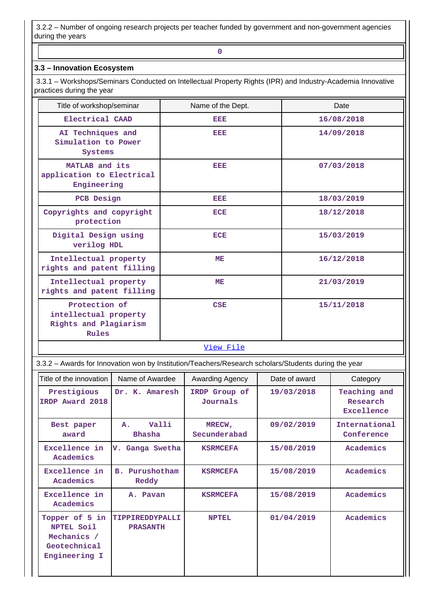3.2.2 – Number of ongoing research projects per teacher funded by government and non-government agencies during the years

## **3.3 – Innovation Ecosystem**

**0**

 3.3.1 – Workshops/Seminars Conducted on Intellectual Property Rights (IPR) and Industry-Academia Innovative practices during the year

| Title of workshop/seminar                                                | Name of the Dept. | Date       |
|--------------------------------------------------------------------------|-------------------|------------|
| Electrical CAAD                                                          | EEE               | 16/08/2018 |
| AI Techniques and<br>Simulation to Power<br>Systems                      | EEE               | 14/09/2018 |
| MATLAB and its<br>application to Electrical<br>Engineering               | EEE               | 07/03/2018 |
| PCB Design                                                               | EEE               | 18/03/2019 |
| Copyrights and copyright<br>protection                                   | <b>ECE</b>        | 18/12/2018 |
| Digital Design using<br>verilog HDL                                      | <b>ECE</b>        | 15/03/2019 |
| Intellectual property<br>rights and patent filling                       | <b>ME</b>         | 16/12/2018 |
| Intellectual property<br>rights and patent filling                       | ME                | 21/03/2019 |
| Protection of<br>intellectual property<br>Rights and Plagiarism<br>Rules | CSE               | 15/11/2018 |

#### [View File](https://assessmentonline.naac.gov.in/public/Postacc/Seminars_conducted/3226_Seminars_conducted_1578546854.xlsx)

3.3.2 – Awards for Innovation won by Institution/Teachers/Research scholars/Students during the year

| Title of the innovation                                                      | Name of Awardee                           | Awarding Agency           | Date of award | Category                                      |
|------------------------------------------------------------------------------|-------------------------------------------|---------------------------|---------------|-----------------------------------------------|
| Prestigious<br>IRDP Award 2018                                               | Dr. K. Amaresh                            | IRDP Group of<br>Journals | 19/03/2018    | Teaching and<br>Research<br><b>Excellence</b> |
| Best paper<br>award                                                          | Valli<br>$A$ .<br><b>Bhasha</b>           | MRECW,<br>Secunderabad    | 09/02/2019    | International<br>Conference                   |
| Excellence in<br>Academics                                                   | V. Ganga Swetha                           | <b>KSRMCEFA</b>           | 15/08/2019    | Academics                                     |
| Excellence in<br>Academics                                                   | <b>B.</b> Purushotham<br>Reddy            | <b>KSRMCEFA</b>           | 15/08/2019    | Academics                                     |
| Excellence in<br>Academics                                                   | A. Pavan                                  | <b>KSRMCEFA</b>           | 15/08/2019    | Academics                                     |
| Topper of 5 in<br>NPTEL Soil<br>Mechanics /<br>Geotechnical<br>Engineering I | <b>TIPPIREDDYPALLI</b><br><b>PRASANTH</b> | <b>NPTEL</b>              | 01/04/2019    | Academics                                     |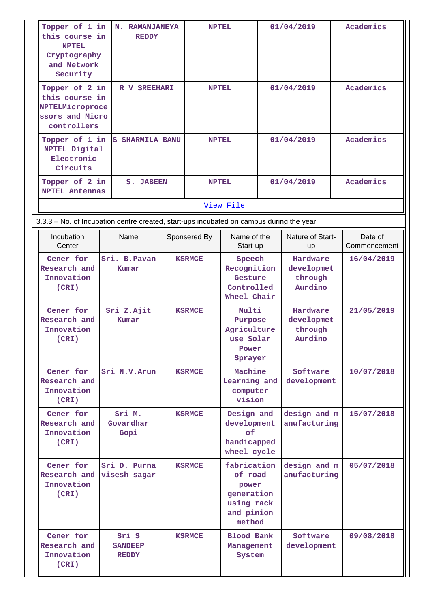| Topper of 1 in<br>this course in<br><b>NPTEL</b><br>Cryptography<br>and Network<br>Security | N. RAMANJANEYA<br><b>REDDY</b>                                                          |               | <b>NPTEL</b>  |                                                                                     |            | 01/04/2019                                   | Academics               |
|---------------------------------------------------------------------------------------------|-----------------------------------------------------------------------------------------|---------------|---------------|-------------------------------------------------------------------------------------|------------|----------------------------------------------|-------------------------|
| Topper of 2 in<br>this course in<br>NPTELMicroproce<br>ssors and Micro<br>controllers       | R V SREEHARI                                                                            |               | <b>NPTEL</b>  |                                                                                     | 01/04/2019 |                                              | Academics               |
| Topper of 1 in<br>NPTEL Digital<br>Electronic<br>Circuits                                   | S SHARMILA BANU                                                                         |               | <b>NPTEL</b>  |                                                                                     |            | 01/04/2019                                   | Academics               |
| Topper of 2 in<br><b>NPTEL Antennas</b>                                                     | <b>S. JABEEN</b>                                                                        |               | <b>NPTEL</b>  |                                                                                     |            | 01/04/2019                                   | Academics               |
|                                                                                             |                                                                                         |               |               | View File                                                                           |            |                                              |                         |
|                                                                                             | 3.3.3 - No. of Incubation centre created, start-ups incubated on campus during the year |               |               |                                                                                     |            |                                              |                         |
| Incubation<br>Center                                                                        | Name                                                                                    |               | Sponsered By  | Name of the<br>Start-up                                                             |            | Nature of Start-<br>up                       | Date of<br>Commencement |
| Cener for<br>Research and<br>Innovation<br>(CRI)                                            | Sri. B. Pavan<br>Kumar                                                                  |               | <b>KSRMCE</b> | Speech<br>Recognition<br>Gesture<br>Controlled<br>Wheel Chair                       |            | Hardware<br>developmet<br>through<br>Aurdino | 16/04/2019              |
| Cener for<br>Research and<br>Innovation<br>(CRI)                                            | Sri Z.Ajit<br>Kumar                                                                     |               | <b>KSRMCE</b> | Multi<br>Purpose<br>Agriculture<br>use Solar<br>Power<br>Sprayer                    |            | Hardware<br>developmet<br>through<br>Aurdino | 21/05/2019              |
| Cener for<br>Research and<br>Innovation<br>(CRI)                                            | Sri N.V. Arun                                                                           |               | <b>KSRMCE</b> | Machine<br>Learning and<br>computer<br>vision                                       |            | Software<br>development                      | 10/07/2018              |
| Cener for<br>Research and<br>Innovation<br>(CRI)                                            | Sri M.<br>Govardhar<br>Gopi                                                             | <b>KSRMCE</b> |               | Design and<br>development<br>of<br>handicapped<br>wheel cycle                       |            | design and m<br>anufacturing                 | 15/07/2018              |
| Cener for<br>Research and<br>Innovation<br>(CRI)                                            | Sri D. Purna<br>visesh sagar                                                            | <b>KSRMCE</b> |               | fabrication<br>of road<br>power<br>generation<br>using rack<br>and pinion<br>method |            | design and m<br>anufacturing                 | 05/07/2018              |
| Cener for<br>Research and<br>Innovation<br>(CRI)                                            | Sri S<br><b>SANDEEP</b><br><b>REDDY</b>                                                 |               | <b>KSRMCE</b> | <b>Blood Bank</b><br>Management<br>System                                           |            | Software<br>development                      | 09/08/2018              |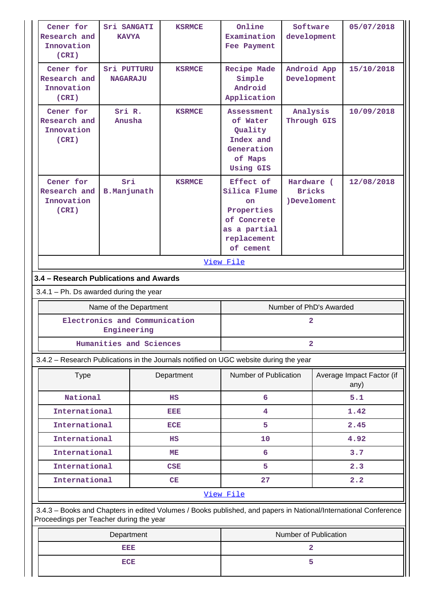| Cener for<br>Research and<br>Innovation<br>(CRI)                                                                                                           | Sri SANGATI<br><b>KAVYA</b>                  | <b>KSRMCE</b> | Online<br>Software<br>Examination<br>development<br>Fee Payment                                                 |                                                                               |  | 05/07/2018                        |
|------------------------------------------------------------------------------------------------------------------------------------------------------------|----------------------------------------------|---------------|-----------------------------------------------------------------------------------------------------------------|-------------------------------------------------------------------------------|--|-----------------------------------|
| Cener for<br>Research and<br>Innovation<br>(CRI)                                                                                                           | Sri PUTTURU<br><b>NAGARAJU</b>               | <b>KSRMCE</b> |                                                                                                                 | Recipe Made<br>Android App<br>Simple<br>Development<br>Android<br>Application |  | 15/10/2018                        |
| Cener for<br>Research and<br>Innovation<br>(CRI)                                                                                                           | Sri R.<br><b>KSRMCE</b><br>Anusha            |               | <b>Assessment</b><br>of Water<br>Quality<br>Index and<br>Generation<br>of Maps<br><b>Using GIS</b>              | Analysis<br>Through GIS                                                       |  | 10/09/2018                        |
| Cener for<br>Research and<br>Innovation<br>(CRI)                                                                                                           | Sri<br><b>B.Manjunath</b>                    | <b>KSRMCE</b> | Effect of<br>Silica Flume<br><b>on</b><br>Properties<br>of Concrete<br>as a partial<br>replacement<br>of cement | Hardware (<br><b>Bricks</b><br>)Develoment                                    |  | 12/08/2018                        |
|                                                                                                                                                            |                                              |               | View File                                                                                                       |                                                                               |  |                                   |
| 3.4 - Research Publications and Awards                                                                                                                     |                                              |               |                                                                                                                 |                                                                               |  |                                   |
| $3.4.1$ – Ph. Ds awarded during the year                                                                                                                   |                                              |               |                                                                                                                 |                                                                               |  |                                   |
| Name of the Department                                                                                                                                     |                                              |               |                                                                                                                 |                                                                               |  |                                   |
|                                                                                                                                                            |                                              |               |                                                                                                                 | Number of PhD's Awarded                                                       |  |                                   |
|                                                                                                                                                            | Electronics and Communication<br>Engineering |               |                                                                                                                 | 2                                                                             |  |                                   |
|                                                                                                                                                            | Humanities and Sciences                      |               |                                                                                                                 | 2                                                                             |  |                                   |
| 3.4.2 - Research Publications in the Journals notified on UGC website during the year                                                                      |                                              |               |                                                                                                                 |                                                                               |  |                                   |
| <b>Type</b>                                                                                                                                                |                                              | Department    | Number of Publication                                                                                           |                                                                               |  | Average Impact Factor (if<br>any) |
| National                                                                                                                                                   |                                              | $_{\rm HS}$   | 6                                                                                                               |                                                                               |  | 5.1                               |
| International                                                                                                                                              |                                              | <b>BED</b>    | 4                                                                                                               |                                                                               |  | 1.42                              |
| International                                                                                                                                              |                                              | ECE           | 5                                                                                                               |                                                                               |  | 2.45                              |
| International                                                                                                                                              |                                              | $_{\rm HS}$   | 10                                                                                                              |                                                                               |  | 4.92                              |
| International                                                                                                                                              |                                              | MЕ            | 6                                                                                                               |                                                                               |  | 3.7                               |
| International                                                                                                                                              |                                              | CSE           | 5                                                                                                               |                                                                               |  | 2.3                               |
| International                                                                                                                                              |                                              | CE            | 27                                                                                                              |                                                                               |  | 2.2                               |
|                                                                                                                                                            |                                              |               | View File                                                                                                       |                                                                               |  |                                   |
| 3.4.3 - Books and Chapters in edited Volumes / Books published, and papers in National/International Conference<br>Proceedings per Teacher during the year |                                              |               |                                                                                                                 |                                                                               |  |                                   |
|                                                                                                                                                            | Department                                   |               |                                                                                                                 | Number of Publication                                                         |  |                                   |
|                                                                                                                                                            | EEE                                          |               |                                                                                                                 | 2                                                                             |  |                                   |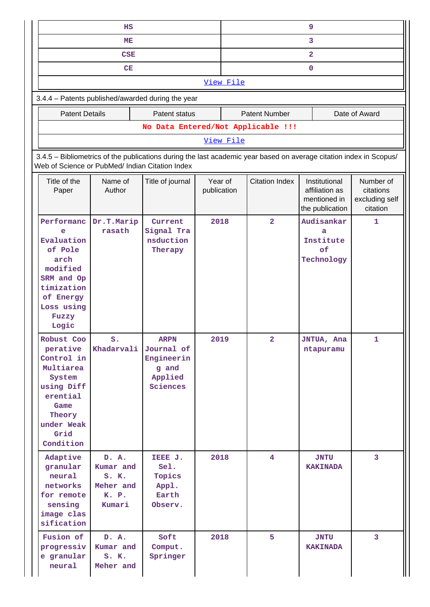|                                                                                                                                                                       | HS                                                          |                                                              |                        | 9                       |                                  |                                                                    |                                                      |  |  |  |
|-----------------------------------------------------------------------------------------------------------------------------------------------------------------------|-------------------------------------------------------------|--------------------------------------------------------------|------------------------|-------------------------|----------------------------------|--------------------------------------------------------------------|------------------------------------------------------|--|--|--|
| ME                                                                                                                                                                    |                                                             |                                                              |                        |                         | 3                                |                                                                    |                                                      |  |  |  |
|                                                                                                                                                                       |                                                             |                                                              |                        | $\overline{\mathbf{2}}$ |                                  |                                                                    |                                                      |  |  |  |
|                                                                                                                                                                       | 0                                                           |                                                              |                        |                         |                                  |                                                                    |                                                      |  |  |  |
| View File                                                                                                                                                             |                                                             |                                                              |                        |                         |                                  |                                                                    |                                                      |  |  |  |
| 3.4.4 - Patents published/awarded during the year                                                                                                                     |                                                             |                                                              |                        |                         |                                  |                                                                    |                                                      |  |  |  |
| <b>Patent Number</b><br>Date of Award<br><b>Patent Details</b><br>Patent status                                                                                       |                                                             |                                                              |                        |                         |                                  |                                                                    |                                                      |  |  |  |
| No Data Entered/Not Applicable !!!                                                                                                                                    |                                                             |                                                              |                        |                         |                                  |                                                                    |                                                      |  |  |  |
|                                                                                                                                                                       | View File                                                   |                                                              |                        |                         |                                  |                                                                    |                                                      |  |  |  |
| 3.4.5 - Bibliometrics of the publications during the last academic year based on average citation index in Scopus/<br>Web of Science or PubMed/ Indian Citation Index |                                                             |                                                              |                        |                         |                                  |                                                                    |                                                      |  |  |  |
| Title of the<br>Paper                                                                                                                                                 | Name of<br>Author                                           | Title of journal                                             | Year of<br>publication |                         | <b>Citation Index</b>            | Institutional<br>affiliation as<br>mentioned in<br>the publication | Number of<br>citations<br>excluding self<br>citation |  |  |  |
| Performanc<br>e<br>Evaluation<br>of Pole<br>arch<br>modified<br>SRM and Op<br>timization<br>of Energy<br>Loss using<br>Fuzzy<br>Logic<br>Robust Coo                   | Dr.T.Marip<br>rasath<br>$S$ .                               | Current<br>Signal Tra<br>nsduction<br>Therapy<br><b>ARPN</b> | 2018<br>2019           |                         | $\overline{a}$<br>$\overline{a}$ | Audisankar<br>a<br>Institute<br>of<br>Technology<br>JNTUA, Ana     | $\mathbf{1}$<br>1                                    |  |  |  |
| perative<br>Control in<br>Multiarea<br>System<br>using Diff<br>erential<br>Game<br>Theory<br>under Weak<br>Grid<br>Condition                                          | Khadarvali                                                  | Journal of<br>Engineerin<br>g and<br>Applied<br>Sciences     |                        |                         |                                  | ntapuramu                                                          |                                                      |  |  |  |
| Adaptive<br>granular<br>neural<br>networks<br>for remote<br>sensing<br>image clas<br>sification                                                                       | D. A.<br>Kumar and<br>S. K.<br>Meher and<br>K. P.<br>Kumari | IEEE J.<br>Sel.<br>Topics<br>Appl.<br>Earth<br>Observ.       | 2018                   |                         | $\overline{4}$                   | <b>JNTU</b><br><b>KAKINADA</b>                                     | 3                                                    |  |  |  |
| Fusion of<br>progressiv<br>e granular<br>neural                                                                                                                       | D. A.<br>Kumar and<br>$S$ . $K$ .<br>Meher and              | Soft<br>Comput.<br>Springer                                  | 2018                   |                         | 5                                | <b>JNTU</b><br><b>KAKINADA</b>                                     | $\overline{3}$                                       |  |  |  |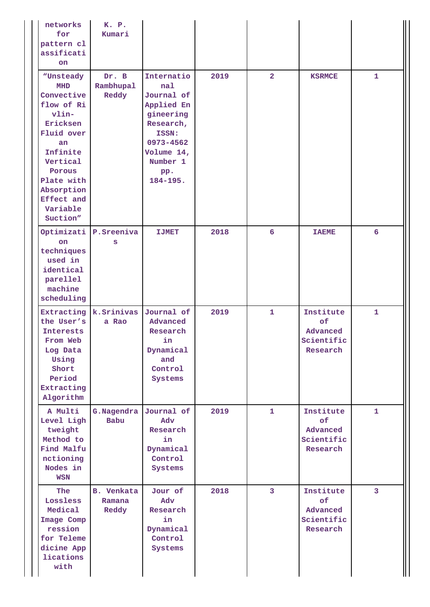| networks<br>for<br>pattern cl<br>assificati<br>on                                                                                                                                         | K. P.<br>Kumari                      |                                                                                                                                                |      |                |                                                       |                         |
|-------------------------------------------------------------------------------------------------------------------------------------------------------------------------------------------|--------------------------------------|------------------------------------------------------------------------------------------------------------------------------------------------|------|----------------|-------------------------------------------------------|-------------------------|
| "Unsteady<br>MHD<br>Convective<br>flow of Ri<br>vlin-<br>Ericksen<br>Fluid over<br>an<br>Infinite<br>Vertical<br>Porous<br>Plate with<br>Absorption<br>Effect and<br>Variable<br>Suction" | Dr. B<br>Rambhupal<br>Reddy          | Internatio<br>nal<br>Journal of<br>Applied En<br>gineering<br>Research,<br>ISSN:<br>0973-4562<br>Volume 14,<br>Number 1<br>pp.<br>$184 - 195.$ | 2019 | $\overline{2}$ | <b>KSRMCE</b>                                         | 1                       |
| Optimizati<br>on<br>techniques<br>used in<br>identical<br>parellel<br>machine<br>scheduling                                                                                               | P.Sreeniva<br>S                      | <b>IJMET</b>                                                                                                                                   | 2018 | 6              | <b>TAEME</b>                                          | 6                       |
| Extracting<br>the User's<br>Interests<br>From Web<br>Log Data<br>Using<br>Short<br>Period<br>Extracting<br>Algorithm                                                                      | k.Srinivas<br>a Rao                  | Journal of<br>Advanced<br>Research<br>in<br>Dynamical<br>and<br>Control<br>Systems                                                             | 2019 | $\mathbf{1}$   | Institute<br>of<br>Advanced<br>Scientific<br>Research | $\mathbf{1}$            |
| A Multi<br>Level Ligh<br>tweight<br>Method to<br>Find Malfu<br>nctioning<br>Nodes in<br><b>WSN</b>                                                                                        | G.Nagendra<br>Babu                   | Journal of<br>Adv<br>Research<br>in<br>Dynamical<br>Control<br>Systems                                                                         | 2019 | $\mathbf{1}$   | Institute<br>of<br>Advanced<br>Scientific<br>Research | $\mathbf{1}$            |
| <b>The</b><br>Lossless<br>Medical<br>Image Comp<br>ression<br>for Teleme<br>dicine App<br>lications<br>with                                                                               | <b>B.</b> Venkata<br>Ramana<br>Reddy | Jour of<br>Adv<br>Research<br>in<br>Dynamical<br>Control<br>Systems                                                                            | 2018 | $\mathbf{3}$   | Institute<br>of<br>Advanced<br>Scientific<br>Research | $\overline{\mathbf{3}}$ |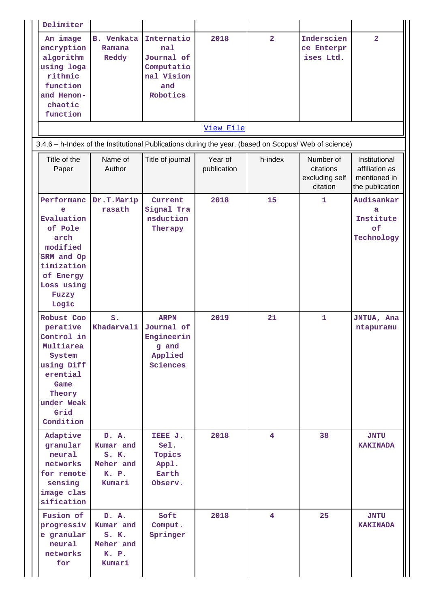| Delimiter                                                                                                                                  |                                                                   |                                                                                |                        |                |                                                      |                                                                    |
|--------------------------------------------------------------------------------------------------------------------------------------------|-------------------------------------------------------------------|--------------------------------------------------------------------------------|------------------------|----------------|------------------------------------------------------|--------------------------------------------------------------------|
| An image<br>encryption<br>algorithm<br>using loga<br>rithmic<br>function<br>and Henon-<br>chaotic<br>function                              | <b>B.</b> Venkata<br>Ramana<br>Reddy                              | Internatio<br>nal<br>Journal of<br>Computatio<br>nal Vision<br>and<br>Robotics | 2018                   | $\overline{2}$ | Inderscien<br>ce Enterpr<br>ises Ltd.                | $\overline{2}$                                                     |
|                                                                                                                                            |                                                                   |                                                                                | View File              |                |                                                      |                                                                    |
| 3.4.6 - h-Index of the Institutional Publications during the year. (based on Scopus/ Web of science)                                       |                                                                   |                                                                                |                        |                |                                                      |                                                                    |
| Title of the<br>Paper                                                                                                                      | Name of<br>Author                                                 | Title of journal                                                               | Year of<br>publication | h-index        | Number of<br>citations<br>excluding self<br>citation | Institutional<br>affiliation as<br>mentioned in<br>the publication |
| Performanc<br>e<br>Evaluation<br>of Pole<br>arch<br>modified<br>SRM and Op<br>timization<br>of Energy<br>Loss using<br>Fuzzy<br>Logic      | Dr.T.Marip<br>rasath                                              | Current<br>Signal Tra<br>nsduction<br>Therapy                                  | 2018                   | 15             | $\mathbf{1}$                                         | Audisankar<br>a<br>Institute<br>of<br>Technology                   |
| Robust Coo<br>perative<br>Control in<br>Multiarea<br>System<br>using Diff<br>erential<br>Game<br>Theory<br>under Weak<br>Grid<br>Condition | S <sub>o</sub><br>Khadarvali                                      | <b>ARPN</b><br>Journal of<br>Engineerin<br>g and<br>Applied<br>Sciences        | 2019                   | 21             | $\mathbf{1}$                                         | JNTUA, Ana<br>ntapuramu                                            |
| Adaptive<br>granular<br>neural<br>networks<br>for remote<br>sensing<br>image clas<br>sification                                            | D. A.<br>Kumar and<br>$S$ . $K$ .<br>Meher and<br>K. P.<br>Kumari | IEEE J.<br>Sel.<br>Topics<br>Appl.<br>Earth<br>Observ.                         | 2018                   | $\overline{4}$ | 38                                                   | <b>JNTU</b><br><b>KAKINADA</b>                                     |
| Fusion of<br>progressiv<br>e granular<br>neural<br>networks<br>for                                                                         | D. A.<br>Kumar and<br>S. K.<br>Meher and<br>K. P.<br>Kumari       | Soft<br>Comput.<br>Springer                                                    | 2018                   | $\overline{4}$ | 25                                                   | <b>JNTU</b><br><b>KAKINADA</b>                                     |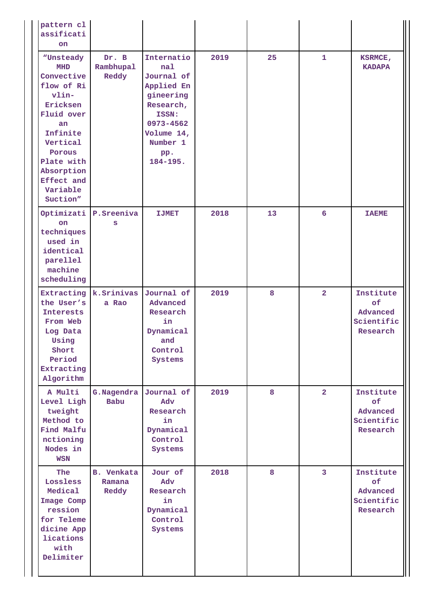| pattern cl<br>assificati<br>on                                                                                                                                                                     |                                      |                                                                                                                                            |      |    |                 |                                                       |
|----------------------------------------------------------------------------------------------------------------------------------------------------------------------------------------------------|--------------------------------------|--------------------------------------------------------------------------------------------------------------------------------------------|------|----|-----------------|-------------------------------------------------------|
| "Unsteady<br><b>MHD</b><br>Convective<br>flow of Ri<br>$vlin-$<br>Ericksen<br>Fluid over<br>an<br>Infinite<br>Vertical<br>Porous<br>Plate with<br>Absorption<br>Effect and<br>Variable<br>Suction" | Dr. B<br>Rambhupal<br>Reddy          | Internatio<br>nal<br>Journal of<br>Applied En<br>gineering<br>Research,<br>ISSN:<br>0973-4562<br>Volume 14,<br>Number 1<br>pp.<br>184-195. | 2019 | 25 | $\mathbf{1}$    | KSRMCE,<br><b>KADAPA</b>                              |
| Optimizati<br>on<br>techniques<br>used in<br>identical<br>parellel<br>machine<br>scheduling                                                                                                        | P.Sreeniva<br>S                      | <b>IJMET</b>                                                                                                                               | 2018 | 13 | $6\overline{6}$ | <b>TAEME</b>                                          |
| Extracting<br>the User's<br>Interests<br>From Web<br>Log Data<br>Using<br>Short<br>Period<br>Extracting<br>Algorithm                                                                               | k.Srinivas<br>a Rao                  | Journal of<br>Advanced<br>Research<br>in<br>Dynamical<br>and<br>Control<br>Systems                                                         | 2019 | 8  | $\overline{2}$  | Institute<br>of<br>Advanced<br>Scientific<br>Research |
| A Multi<br>Level Ligh<br>tweight<br>Method to<br>Find Malfu<br>nctioning<br>Nodes in<br><b>WSN</b>                                                                                                 | G.Nagendra<br>Babu                   | Journal of<br>Adv<br>Research<br>in<br>Dynamical<br>Control<br>Systems                                                                     | 2019 | 8  | $\overline{2}$  | Institute<br>of<br>Advanced<br>Scientific<br>Research |
| The<br>Lossless<br>Medical<br>Image Comp<br>ression<br>for Teleme<br>dicine App<br>lications<br>with<br>Delimiter                                                                                  | <b>B.</b> Venkata<br>Ramana<br>Reddy | Jour of<br>Adv<br>Research<br>in<br>Dynamical<br>Control<br>Systems                                                                        | 2018 | 8  | $\mathbf{3}$    | Institute<br>of<br>Advanced<br>Scientific<br>Research |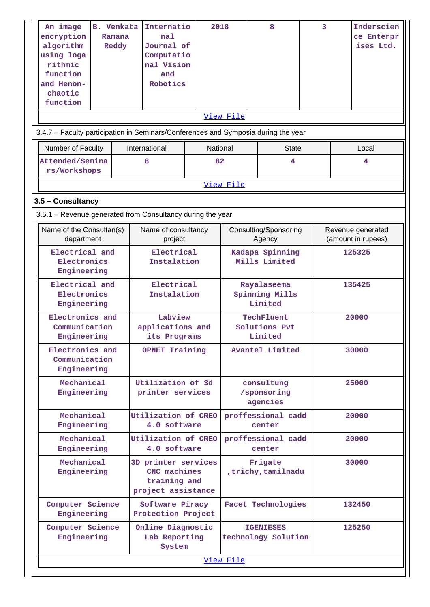| An image<br>encryption<br>algorithm<br>using loga<br>rithmic<br>function<br>and Henon-<br>chaotic<br>function | <b>B.</b> Venkata<br>Ramana<br>Reddy | Internatio<br>nal<br>Journal of<br>Computatio<br>nal Vision<br>and<br>Robotics | 2018           |                                          |  | 8                                       | 3      |        | Inderscien<br>ce Enterpr<br>ises Ltd.   |
|---------------------------------------------------------------------------------------------------------------|--------------------------------------|--------------------------------------------------------------------------------|----------------|------------------------------------------|--|-----------------------------------------|--------|--------|-----------------------------------------|
| View File                                                                                                     |                                      |                                                                                |                |                                          |  |                                         |        |        |                                         |
| 3.4.7 - Faculty participation in Seminars/Conferences and Symposia during the year                            |                                      |                                                                                |                |                                          |  |                                         |        |        |                                         |
| Number of Faculty<br>Attended/Semina<br>rs/Workshops                                                          |                                      | International<br>8                                                             | National<br>82 |                                          |  | <b>State</b><br>4                       |        |        | Local<br>4                              |
|                                                                                                               |                                      |                                                                                |                | View File                                |  |                                         |        |        |                                         |
| 3.5 - Consultancy                                                                                             |                                      |                                                                                |                |                                          |  |                                         |        |        |                                         |
| 3.5.1 - Revenue generated from Consultancy during the year                                                    |                                      |                                                                                |                |                                          |  |                                         |        |        |                                         |
| Name of the Consultan(s)<br>department                                                                        |                                      | Name of consultancy<br>project                                                 |                |                                          |  | Consulting/Sponsoring<br>Agency         |        |        | Revenue generated<br>(amount in rupees) |
| Electrical and<br>Electronics<br>Engineering                                                                  |                                      | Electrical<br>Instalation                                                      |                | Kadapa Spinning<br>Mills Limited         |  |                                         | 125325 |        |                                         |
| Electrical and<br>Electronics<br>Engineering                                                                  |                                      | Electrical<br>Instalation                                                      |                | Rayalaseema<br>Spinning Mills<br>Limited |  |                                         | 135425 |        |                                         |
| Electronics and<br>Communication<br>Engineering                                                               |                                      | Labview<br>applications and<br>its Programs                                    |                | TechFluent<br>Solutions Pvt<br>Limited   |  |                                         | 20000  |        |                                         |
| Electronics and<br>Communication<br>Engineering                                                               |                                      | <b>OPNET Training</b>                                                          |                | Avantel Limited                          |  |                                         | 30000  |        |                                         |
| Mechanical<br>Engineering                                                                                     |                                      | Utilization of 3d<br>printer services                                          |                | consultung<br>/sponsoring<br>agencies    |  |                                         | 25000  |        |                                         |
| Mechanical<br>Engineering                                                                                     |                                      | Utilization of CREO<br>4.0 software                                            |                | proffessional cadd<br>center             |  |                                         | 20000  |        |                                         |
| Mechanical<br>Engineering                                                                                     |                                      | Utilization of CREO<br>4.0 software                                            |                |                                          |  | proffessional cadd<br>center            |        |        | 20000                                   |
| Mechanical<br>Engineering                                                                                     |                                      | 3D printer services<br>CNC machines<br>training and<br>project assistance      |                | Frigate<br>,trichy,tamilnadu             |  |                                         |        |        | 30000                                   |
| Computer Science<br>Engineering                                                                               |                                      | Software Piracy<br>Protection Project                                          |                |                                          |  | <b>Facet Technologies</b>               |        |        | 132450                                  |
| Computer Science<br>Engineering                                                                               |                                      | Online Diagnostic<br>Lab Reporting<br>System                                   |                |                                          |  | <b>IGENIESES</b><br>technology Solution |        | 125250 |                                         |
|                                                                                                               |                                      |                                                                                |                | View File                                |  |                                         |        |        |                                         |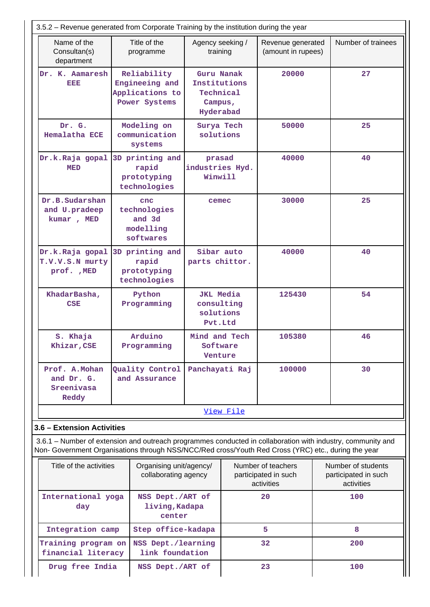| 3.5.2 - Revenue generated from Corporate Training by the institution during the year |                                                                                                     |                                                                 |           |                                                          |                                                                                                             |  |  |
|--------------------------------------------------------------------------------------|-----------------------------------------------------------------------------------------------------|-----------------------------------------------------------------|-----------|----------------------------------------------------------|-------------------------------------------------------------------------------------------------------------|--|--|
| Name of the<br>Consultan(s)<br>department                                            | Title of the<br>programme                                                                           | Agency seeking /<br>training                                    |           | Revenue generated<br>(amount in rupees)                  | Number of trainees                                                                                          |  |  |
| Dr. K. Aamaresh<br>eisie                                                             | Reliability<br>Engineeing and<br>Applications to<br>Power Systems                                   | Guru Nanak<br>Institutions<br>Technical<br>Campus,<br>Hyderabad |           | 20000                                                    | 27                                                                                                          |  |  |
| Dr. G.<br><b>Hemalatha ECE</b>                                                       | Modeling on<br>communication<br>systems                                                             | Surya Tech<br>solutions                                         |           | 50000                                                    | 25                                                                                                          |  |  |
| Dr.k.Raja gopal<br><b>MED</b>                                                        | 3D printing and<br>rapid<br>prototyping<br>technologies                                             | prasad<br>industries Hyd.<br>Winwill                            |           | 40000                                                    | 40                                                                                                          |  |  |
| Dr.B.Sudarshan<br>and U.pradeep<br>kumar, MED                                        | cnc<br>technologies<br>and 3d<br>modelling<br>softwares                                             | cemec                                                           |           | 30000                                                    | 25                                                                                                          |  |  |
| Dr.k.Raja gopal<br>T.V.V.S.N murty<br>prof. , MED                                    | 3D printing and<br>rapid<br>prototyping<br>technologies                                             | Sibar auto<br>parts chittor.                                    | 40000     |                                                          | 40                                                                                                          |  |  |
| KhadarBasha,<br><b>CSE</b>                                                           | Python<br>Programming                                                                               | <b>JKL</b> Media<br>consulting<br>solutions<br>Pvt.Ltd          |           | 125430                                                   | 54                                                                                                          |  |  |
| S. Khaja<br>Khizar, CSE                                                              | Arduino<br>Programming                                                                              | Mind and Tech<br>Software<br>Venture                            |           | 105380                                                   | 46                                                                                                          |  |  |
| Prof. A. Mohan<br>and Dr. G.<br>Sreenivasa<br>Reddy                                  | Quality Control<br>and Assurance                                                                    | Panchayati Raj                                                  |           | 100000                                                   | 30                                                                                                          |  |  |
|                                                                                      |                                                                                                     |                                                                 | View File |                                                          |                                                                                                             |  |  |
| 3.6 - Extension Activities                                                           |                                                                                                     |                                                                 |           |                                                          |                                                                                                             |  |  |
|                                                                                      | Non- Government Organisations through NSS/NCC/Red cross/Youth Red Cross (YRC) etc., during the year |                                                                 |           |                                                          | 3.6.1 – Number of extension and outreach programmes conducted in collaboration with industry, community and |  |  |
| Title of the activities                                                              | Organising unit/agency/<br>collaborating agency                                                     |                                                                 |           | Number of teachers<br>participated in such<br>activities | Number of students<br>participated in such<br>activities                                                    |  |  |
| International yoga<br>day                                                            | NSS Dept./ART of<br>living, Kadapa<br>center                                                        |                                                                 |           | 20                                                       | 100                                                                                                         |  |  |
| Integration camp                                                                     | Step office-kadapa                                                                                  |                                                                 |           | 5                                                        | 8                                                                                                           |  |  |
| Training program on<br>financial literacy                                            | NSS Dept./learning<br>link foundation                                                               |                                                                 |           | 32                                                       | 200                                                                                                         |  |  |
| Drug free India                                                                      | NSS Dept./ART of                                                                                    |                                                                 | 23        |                                                          | 100                                                                                                         |  |  |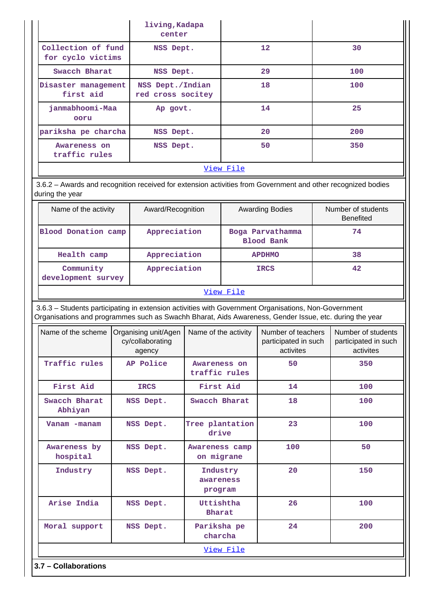|                                         | living, Kadapa<br>center              |                 |     |
|-----------------------------------------|---------------------------------------|-----------------|-----|
| Collection of fund<br>for cyclo victims | NSS Dept.                             | 12 <sup>1</sup> | 30  |
| Swacch Bharat                           | NSS Dept.                             | 29              | 100 |
| Disaster management<br>first aid        | NSS Dept./Indian<br>red cross socitey | 18              | 100 |
| janmabhoomi-Maa<br>ooru                 | Ap govt.                              | 14              | 25  |
| pariksha pe charcha                     | NSS Dept.                             | 20              | 200 |
| Awareness on<br>traffic rules           | NSS Dept.                             | 50              | 350 |
|                                         |                                       | View File       |     |

 3.6.2 – Awards and recognition received for extension activities from Government and other recognized bodies during the year

| Name of the activity            | Award/Recognition | <b>Awarding Bodies</b>                | Number of students<br><b>Benefited</b> |
|---------------------------------|-------------------|---------------------------------------|----------------------------------------|
| Blood Donation camp             | Appreciation      | Boga Parvathamma<br><b>Blood Bank</b> | 74                                     |
| Health camp                     | Appreciation      | <b>APDHMO</b>                         | 38                                     |
| Community<br>development survey | Appreciation      | <b>IRCS</b>                           | 42                                     |
|                                 |                   | View File                             |                                        |

 3.6.3 – Students participating in extension activities with Government Organisations, Non-Government Organisations and programmes such as Swachh Bharat, Aids Awareness, Gender Issue, etc. during the year

| Name of the scheme       | Organising unit/Agen<br>cy/collaborating<br>agency | Name of the activity             | Number of teachers<br>participated in such<br>activites | Number of students<br>participated in such<br>activites |
|--------------------------|----------------------------------------------------|----------------------------------|---------------------------------------------------------|---------------------------------------------------------|
| Traffic rules            | AP Police                                          | Awareness on<br>traffic rules    | 50                                                      | 350                                                     |
| First Aid                | <b>IRCS</b>                                        | First Aid                        | 14                                                      | 100                                                     |
| Swacch Bharat<br>Abhiyan | NSS Dept.                                          | Swacch Bharat                    | 18                                                      | 100                                                     |
| Vanam -manam             | NSS Dept.                                          | Tree plantation<br>drive         | 23                                                      | 100                                                     |
| Awareness by<br>hospital | NSS Dept.                                          | Awareness camp<br>on migrane     | 100                                                     | 50                                                      |
| Industry                 | NSS Dept.                                          | Industry<br>awareness<br>program | 20                                                      | 150                                                     |
| Arise India              | NSS Dept.                                          | Uttishtha<br>Bharat              | 26                                                      | 100                                                     |
| Moral support            | NSS Dept.                                          | Pariksha pe<br>charcha           | 24                                                      | 200                                                     |
|                          |                                                    | View File                        |                                                         |                                                         |
| 3.7 - Collaborations     |                                                    |                                  |                                                         |                                                         |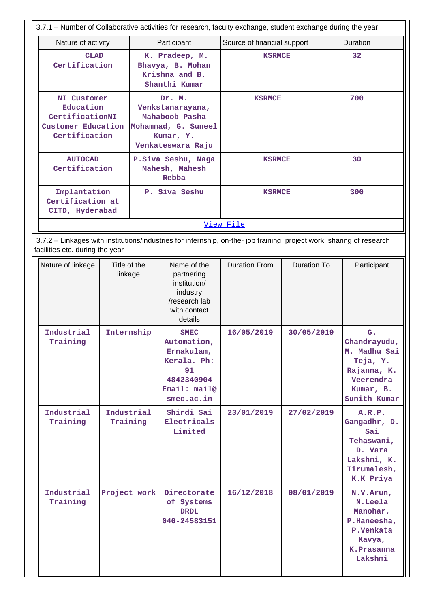|                                                                                                                                                          | 3.7.1 – Number of Collaborative activities for research, faculty exchange, student exchange during the year |                                                                                                       |                                                                                                                  |                                    |                                  |  |                                                                                                   |  |
|----------------------------------------------------------------------------------------------------------------------------------------------------------|-------------------------------------------------------------------------------------------------------------|-------------------------------------------------------------------------------------------------------|------------------------------------------------------------------------------------------------------------------|------------------------------------|----------------------------------|--|---------------------------------------------------------------------------------------------------|--|
| Nature of activity                                                                                                                                       |                                                                                                             |                                                                                                       | Participant                                                                                                      | Source of financial support        |                                  |  | <b>Duration</b>                                                                                   |  |
|                                                                                                                                                          | <b>CLAD</b><br>Certification                                                                                |                                                                                                       | K. Pradeep, M.<br>Bhavya, B. Mohan<br>Krishna and B.<br>Shanthi Kumar                                            | <b>KSRMCE</b>                      |                                  |  | 32                                                                                                |  |
| <b>NI Customer</b><br>Education<br>CertificationNI<br>Customer Education<br>Certification                                                                |                                                                                                             | Dr. M.<br>Venkstanarayana,<br>Mahaboob Pasha<br>Mohammad, G. Suneel<br>Kumar, Y.<br>Venkateswara Raju |                                                                                                                  | <b>KSRMCE</b>                      |                                  |  | 700                                                                                               |  |
| <b>AUTOCAD</b><br>Certification                                                                                                                          |                                                                                                             |                                                                                                       | P.Siva Seshu, Naga<br>Mahesh, Mahesh<br>Rebba                                                                    | <b>KSRMCE</b>                      |                                  |  | 30                                                                                                |  |
| Implantation<br>Certification at<br>CITD, Hyderabad                                                                                                      |                                                                                                             |                                                                                                       | P. Siva Seshu                                                                                                    | <b>KSRMCE</b>                      |                                  |  | 300                                                                                               |  |
|                                                                                                                                                          |                                                                                                             |                                                                                                       |                                                                                                                  | View File                          |                                  |  |                                                                                                   |  |
| 3.7.2 - Linkages with institutions/industries for internship, on-the- job training, project work, sharing of research<br>facilities etc. during the year |                                                                                                             |                                                                                                       |                                                                                                                  |                                    |                                  |  |                                                                                                   |  |
| Nature of linkage<br>Industrial                                                                                                                          | Title of the<br>linkage<br>Internship                                                                       |                                                                                                       | Name of the<br>partnering<br>institution/<br>industry<br>/research lab<br>with contact<br>details<br><b>SMEC</b> | <b>Duration From</b><br>16/05/2019 | <b>Duration To</b><br>30/05/2019 |  | Participant<br>G.                                                                                 |  |
| Training                                                                                                                                                 |                                                                                                             |                                                                                                       | Automation,<br>Ernakulam,<br>Kerala. Ph:<br>91<br>4842340904<br>Email: mail@<br>smec.ac.in                       |                                    |                                  |  | Chandrayudu,<br>M. Madhu Sai<br>Teja, Y.<br>Rajanna, K.<br>Veerendra<br>Kumar, B.<br>Sunith Kumar |  |
| Industrial<br>Training                                                                                                                                   | Industrial<br>Training                                                                                      |                                                                                                       | Shirdi Sai<br>Electricals<br>Limited                                                                             | 23/01/2019                         | 27/02/2019                       |  | A.R.P.<br>Gangadhr, D.<br>Sai<br>Tehaswani,<br>D. Vara<br>Lakshmi, K.<br>Tirumalesh,<br>K.K Priya |  |
| Industrial<br>Training                                                                                                                                   | Project work                                                                                                |                                                                                                       | Directorate<br>of Systems<br><b>DRDL</b><br>040-24583151                                                         | 16/12/2018                         | 08/01/2019                       |  | N.V.Arun,<br>N.Leela<br>Manohar,<br>P.Haneesha,<br>P.Venkata<br>Kavya,<br>K.Prasanna<br>Lakshmi   |  |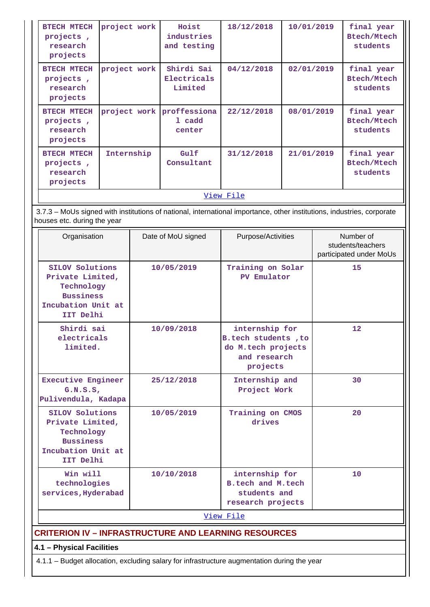| <b>BTECH MTECH</b><br>projects,<br>research<br>projects | project work              | Hoist<br>industries<br>and testing   | 18/12/2018 | 10/01/2019 | final year<br><b>Btech/Mtech</b><br>students |  |  |  |
|---------------------------------------------------------|---------------------------|--------------------------------------|------------|------------|----------------------------------------------|--|--|--|
| <b>BTECH MTECH</b><br>projects,<br>research<br>projects | project work              | Shirdi Sai<br>Electricals<br>Limited | 04/12/2018 | 02/01/2019 | final year<br><b>Btech/Mtech</b><br>students |  |  |  |
| <b>BTECH MTECH</b><br>projects,<br>research<br>projects | project work proffessiona | 1 cadd<br>center                     | 22/12/2018 | 08/01/2019 | final year<br><b>Btech/Mtech</b><br>students |  |  |  |
| <b>BTECH MTECH</b><br>projects,<br>research<br>projects | Internship                | Gulf<br>Consultant                   | 31/12/2018 | 21/01/2019 | final year<br><b>Btech/Mtech</b><br>students |  |  |  |
| <u>View File</u>                                        |                           |                                      |            |            |                                              |  |  |  |

 3.7.3 – MoUs signed with institutions of national, international importance, other institutions, industries, corporate houses etc. during the year

| Organisation                                                                                             | Date of MoU signed | Purpose/Activities                                                                      | Number of<br>students/teachers<br>participated under MoUs |
|----------------------------------------------------------------------------------------------------------|--------------------|-----------------------------------------------------------------------------------------|-----------------------------------------------------------|
| SILOV Solutions<br>Private Limited,<br>Technology<br><b>Bussiness</b><br>Incubation Unit at<br>IIT Delhi | 10/05/2019         | Training on Solar<br>PV Emulator                                                        | 15                                                        |
| Shirdi sai<br>electricals<br>limited.                                                                    | 10/09/2018         | internship for<br>B.tech students, to<br>do M.tech projects<br>and research<br>projects | 12 <sup>°</sup>                                           |
| <b>Executive Engineer</b><br>G.N.S.S.<br>Pulivendula, Kadapa                                             | 25/12/2018         | Internship and<br>Project Work                                                          | 30                                                        |
| SILOV Solutions<br>Private Limited,<br>Technology<br><b>Bussiness</b><br>Incubation Unit at<br>IIT Delhi | 10/05/2019         | Training on CMOS<br>drives                                                              | 20                                                        |
| Win will<br>technologies<br>services, Hyderabad                                                          | 10/10/2018         | internship for<br>B.tech and M.tech<br>students and<br>research projects                | 10                                                        |
|                                                                                                          |                    | View File                                                                               |                                                           |
| <b>CRITERION IV - INFRASTRUCTURE AND LEARNING RESOURCES</b>                                              |                    |                                                                                         |                                                           |

**4.1 – Physical Facilities**

4.1.1 – Budget allocation, excluding salary for infrastructure augmentation during the year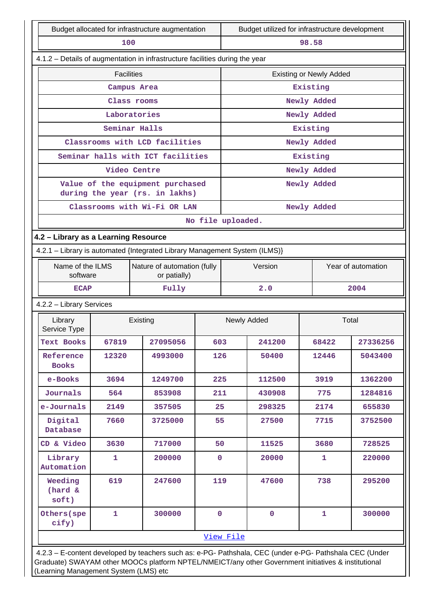| Budget allocated for infrastructure augmentation |                                                                                                                                                                                                                                                         |                                                                              |                   | Budget utilized for infrastructure development |             |             |                    |  |
|--------------------------------------------------|---------------------------------------------------------------------------------------------------------------------------------------------------------------------------------------------------------------------------------------------------------|------------------------------------------------------------------------------|-------------------|------------------------------------------------|-------------|-------------|--------------------|--|
| 100                                              |                                                                                                                                                                                                                                                         |                                                                              |                   |                                                |             | 98.58       |                    |  |
|                                                  |                                                                                                                                                                                                                                                         | 4.1.2 - Details of augmentation in infrastructure facilities during the year |                   |                                                |             |             |                    |  |
|                                                  | <b>Facilities</b>                                                                                                                                                                                                                                       |                                                                              |                   | <b>Existing or Newly Added</b>                 |             |             |                    |  |
|                                                  |                                                                                                                                                                                                                                                         | Campus Area                                                                  |                   |                                                |             | Existing    |                    |  |
|                                                  |                                                                                                                                                                                                                                                         | Class rooms                                                                  |                   |                                                |             | Newly Added |                    |  |
|                                                  |                                                                                                                                                                                                                                                         | Laboratories                                                                 |                   |                                                |             | Newly Added |                    |  |
|                                                  |                                                                                                                                                                                                                                                         | Seminar Halls                                                                |                   |                                                |             | Existing    |                    |  |
|                                                  |                                                                                                                                                                                                                                                         | Classrooms with LCD facilities                                               |                   |                                                |             | Newly Added |                    |  |
|                                                  |                                                                                                                                                                                                                                                         | Seminar halls with ICT facilities                                            |                   |                                                |             | Existing    |                    |  |
|                                                  |                                                                                                                                                                                                                                                         | Video Centre                                                                 |                   |                                                |             | Newly Added |                    |  |
|                                                  |                                                                                                                                                                                                                                                         | Value of the equipment purchased<br>during the year (rs. in lakhs)           |                   |                                                |             | Newly Added |                    |  |
|                                                  |                                                                                                                                                                                                                                                         | Classrooms with Wi-Fi OR LAN                                                 |                   |                                                |             | Newly Added |                    |  |
|                                                  |                                                                                                                                                                                                                                                         |                                                                              | No file uploaded. |                                                |             |             |                    |  |
| 4.2 - Library as a Learning Resource             |                                                                                                                                                                                                                                                         |                                                                              |                   |                                                |             |             |                    |  |
|                                                  |                                                                                                                                                                                                                                                         | 4.2.1 - Library is automated {Integrated Library Management System (ILMS)}   |                   |                                                |             |             |                    |  |
| Name of the ILMS<br>software                     |                                                                                                                                                                                                                                                         | Nature of automation (fully<br>or patially)                                  |                   |                                                | Version     |             | Year of automation |  |
| <b>ECAP</b>                                      |                                                                                                                                                                                                                                                         | Fully                                                                        |                   |                                                | 2.0         |             | 2004               |  |
| 4.2.2 - Library Services                         |                                                                                                                                                                                                                                                         |                                                                              |                   |                                                |             |             |                    |  |
| Library<br>Service Type                          |                                                                                                                                                                                                                                                         | Existing                                                                     |                   | Newly Added                                    |             | Total       |                    |  |
| <b>Text Books</b>                                | 67819                                                                                                                                                                                                                                                   | 27095056                                                                     | 603               |                                                | 241200      | 68422       | 27336256           |  |
| Reference<br><b>Books</b>                        | 12320                                                                                                                                                                                                                                                   | 4993000                                                                      | 126               |                                                | 50400       | 12446       | 5043400            |  |
| e-Books                                          | 3694                                                                                                                                                                                                                                                    | 1249700                                                                      | 225               |                                                | 112500      | 3919        | 1362200            |  |
| Journals                                         | 564                                                                                                                                                                                                                                                     | 853908                                                                       | 211               |                                                | 430908      | 775         | 1284816            |  |
| e-Journals                                       | 2149                                                                                                                                                                                                                                                    | 357505                                                                       | 25                |                                                | 298325      | 2174        | 655830             |  |
| Digital<br>Database                              | 7660                                                                                                                                                                                                                                                    | 3725000                                                                      | 55                |                                                | 27500       | 7715        | 3752500            |  |
| CD & Video                                       | 3630                                                                                                                                                                                                                                                    | 717000                                                                       | 50                |                                                | 11525       | 3680        | 728525             |  |
| Library<br>Automation                            | 1                                                                                                                                                                                                                                                       | 200000                                                                       | $\mathbf{0}$      |                                                | 20000       | 1           | 220000             |  |
| Weeding<br>(hard &<br>soft)                      | 619                                                                                                                                                                                                                                                     | 247600                                                                       | 119               |                                                | 47600       | 738         | 295200             |  |
| Others (spe<br>cify)                             | $\mathbf{1}$                                                                                                                                                                                                                                            | 300000                                                                       | $\mathbf{O}$      |                                                | $\mathbf 0$ | 1           | 300000             |  |
|                                                  |                                                                                                                                                                                                                                                         |                                                                              |                   | View File                                      |             |             |                    |  |
|                                                  | 4.2.3 - E-content developed by teachers such as: e-PG- Pathshala, CEC (under e-PG- Pathshala CEC (Under<br>Graduate) SWAYAM other MOOCs platform NPTEL/NMEICT/any other Government initiatives & institutional<br>(Learning Management System (LMS) etc |                                                                              |                   |                                                |             |             |                    |  |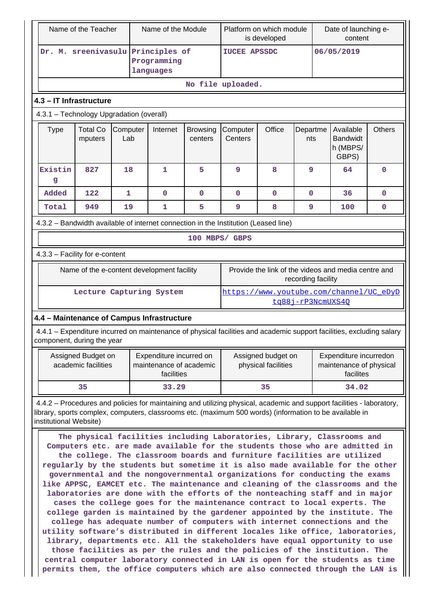| Name of the Teacher                            |                                                                                                                                                                                                                                                                                                                                                                                                                                                                                                                                                                                                                                                                                                                                                                                                                                                                                                                                                                                                                                                                                                                                                                                                                                                                                                                                                                          |                                           |                 | Name of the Module                                                                                                    |                            |                     | Platform on which module<br>is developed  |                    | Date of launching e-<br>content                                |               |
|------------------------------------------------|--------------------------------------------------------------------------------------------------------------------------------------------------------------------------------------------------------------------------------------------------------------------------------------------------------------------------------------------------------------------------------------------------------------------------------------------------------------------------------------------------------------------------------------------------------------------------------------------------------------------------------------------------------------------------------------------------------------------------------------------------------------------------------------------------------------------------------------------------------------------------------------------------------------------------------------------------------------------------------------------------------------------------------------------------------------------------------------------------------------------------------------------------------------------------------------------------------------------------------------------------------------------------------------------------------------------------------------------------------------------------|-------------------------------------------|-----------------|-----------------------------------------------------------------------------------------------------------------------|----------------------------|---------------------|-------------------------------------------|--------------------|----------------------------------------------------------------|---------------|
| Dr. M. sreenivasulu Principles of<br>languages |                                                                                                                                                                                                                                                                                                                                                                                                                                                                                                                                                                                                                                                                                                                                                                                                                                                                                                                                                                                                                                                                                                                                                                                                                                                                                                                                                                          |                                           | Programming     |                                                                                                                       | <b>IUCEE APSSDC</b>        |                     |                                           | 06/05/2019         |                                                                |               |
|                                                |                                                                                                                                                                                                                                                                                                                                                                                                                                                                                                                                                                                                                                                                                                                                                                                                                                                                                                                                                                                                                                                                                                                                                                                                                                                                                                                                                                          |                                           |                 |                                                                                                                       |                            | No file uploaded.   |                                           |                    |                                                                |               |
|                                                | 4.3 - IT Infrastructure                                                                                                                                                                                                                                                                                                                                                                                                                                                                                                                                                                                                                                                                                                                                                                                                                                                                                                                                                                                                                                                                                                                                                                                                                                                                                                                                                  |                                           |                 |                                                                                                                       |                            |                     |                                           |                    |                                                                |               |
|                                                | 4.3.1 - Technology Upgradation (overall)                                                                                                                                                                                                                                                                                                                                                                                                                                                                                                                                                                                                                                                                                                                                                                                                                                                                                                                                                                                                                                                                                                                                                                                                                                                                                                                                 |                                           |                 |                                                                                                                       |                            |                     |                                           |                    |                                                                |               |
|                                                | <b>Type</b>                                                                                                                                                                                                                                                                                                                                                                                                                                                                                                                                                                                                                                                                                                                                                                                                                                                                                                                                                                                                                                                                                                                                                                                                                                                                                                                                                              | <b>Total Co</b><br>mputers                | Computer<br>Lab | Internet                                                                                                              | <b>Browsing</b><br>centers | Computer<br>Centers | Office                                    | Departme<br>nts    | Available<br><b>Bandwidt</b><br>h (MBPS/<br>GBPS)              | <b>Others</b> |
|                                                | Existin<br>g                                                                                                                                                                                                                                                                                                                                                                                                                                                                                                                                                                                                                                                                                                                                                                                                                                                                                                                                                                                                                                                                                                                                                                                                                                                                                                                                                             | 827                                       | 18              | 1                                                                                                                     | 5                          | 9                   | 8                                         | 9                  | 64                                                             | 0             |
|                                                | Added                                                                                                                                                                                                                                                                                                                                                                                                                                                                                                                                                                                                                                                                                                                                                                                                                                                                                                                                                                                                                                                                                                                                                                                                                                                                                                                                                                    | 122                                       | 1               | 0                                                                                                                     | $\mathbf 0$                | 0                   | $\mathbf 0$                               | $\mathbf 0$        | 36                                                             | 0             |
|                                                | Total                                                                                                                                                                                                                                                                                                                                                                                                                                                                                                                                                                                                                                                                                                                                                                                                                                                                                                                                                                                                                                                                                                                                                                                                                                                                                                                                                                    | 949                                       | 19              | 1                                                                                                                     | 5.                         | 9                   | 8                                         | 9                  | 100                                                            | 0             |
|                                                |                                                                                                                                                                                                                                                                                                                                                                                                                                                                                                                                                                                                                                                                                                                                                                                                                                                                                                                                                                                                                                                                                                                                                                                                                                                                                                                                                                          |                                           |                 | 4.3.2 - Bandwidth available of internet connection in the Institution (Leased line)                                   |                            |                     |                                           |                    |                                                                |               |
|                                                |                                                                                                                                                                                                                                                                                                                                                                                                                                                                                                                                                                                                                                                                                                                                                                                                                                                                                                                                                                                                                                                                                                                                                                                                                                                                                                                                                                          |                                           |                 |                                                                                                                       | 100 MBPS/ GBPS             |                     |                                           |                    |                                                                |               |
|                                                | 4.3.3 - Facility for e-content                                                                                                                                                                                                                                                                                                                                                                                                                                                                                                                                                                                                                                                                                                                                                                                                                                                                                                                                                                                                                                                                                                                                                                                                                                                                                                                                           |                                           |                 |                                                                                                                       |                            |                     |                                           |                    |                                                                |               |
|                                                |                                                                                                                                                                                                                                                                                                                                                                                                                                                                                                                                                                                                                                                                                                                                                                                                                                                                                                                                                                                                                                                                                                                                                                                                                                                                                                                                                                          |                                           |                 | Name of the e-content development facility                                                                            |                            |                     |                                           | recording facility | Provide the link of the videos and media centre and            |               |
|                                                |                                                                                                                                                                                                                                                                                                                                                                                                                                                                                                                                                                                                                                                                                                                                                                                                                                                                                                                                                                                                                                                                                                                                                                                                                                                                                                                                                                          |                                           |                 | Lecture Capturing System                                                                                              |                            |                     |                                           | tg88j-rP3NcmUXS4Q  | https://www.youtube.com/channel/UC_eDyD                        |               |
|                                                |                                                                                                                                                                                                                                                                                                                                                                                                                                                                                                                                                                                                                                                                                                                                                                                                                                                                                                                                                                                                                                                                                                                                                                                                                                                                                                                                                                          |                                           |                 | 4.4 - Maintenance of Campus Infrastructure                                                                            |                            |                     |                                           |                    |                                                                |               |
|                                                | component, during the year                                                                                                                                                                                                                                                                                                                                                                                                                                                                                                                                                                                                                                                                                                                                                                                                                                                                                                                                                                                                                                                                                                                                                                                                                                                                                                                                               |                                           |                 | 4.4.1 - Expenditure incurred on maintenance of physical facilities and academic support facilities, excluding salary  |                            |                     |                                           |                    |                                                                |               |
|                                                |                                                                                                                                                                                                                                                                                                                                                                                                                                                                                                                                                                                                                                                                                                                                                                                                                                                                                                                                                                                                                                                                                                                                                                                                                                                                                                                                                                          | Assigned Budget on<br>academic facilities |                 | Expenditure incurred on<br>maintenance of academic<br>facilities                                                      |                            |                     | Assigned budget on<br>physical facilities |                    | Expenditure incurredon<br>maintenance of physical<br>facilites |               |
|                                                |                                                                                                                                                                                                                                                                                                                                                                                                                                                                                                                                                                                                                                                                                                                                                                                                                                                                                                                                                                                                                                                                                                                                                                                                                                                                                                                                                                          | 35                                        |                 | 33.29                                                                                                                 |                            |                     | 35                                        |                    | 34.02                                                          |               |
|                                                |                                                                                                                                                                                                                                                                                                                                                                                                                                                                                                                                                                                                                                                                                                                                                                                                                                                                                                                                                                                                                                                                                                                                                                                                                                                                                                                                                                          |                                           |                 | 4.4.2 – Procedures and policies for maintaining and utilizing physical, academic and support facilities - laboratory, |                            |                     |                                           |                    |                                                                |               |
|                                                | library, sports complex, computers, classrooms etc. (maximum 500 words) (information to be available in<br>institutional Website)<br>The physical facilities including Laboratories, Library, Classrooms and<br>Computers etc. are made available for the students those who are admitted in<br>the college. The classroom boards and furniture facilities are utilized<br>regularly by the students but sometime it is also made available for the other<br>governmental and the nongovernmental organizations for conducting the exams<br>like APPSC, EAMCET etc. The maintenance and cleaning of the classrooms and the<br>laboratories are done with the efforts of the nonteaching staff and in major<br>cases the college goes for the maintenance contract to local experts. The<br>college garden is maintained by the gardener appointed by the institute. The<br>college has adequate number of computers with internet connections and the<br>utility software's distributed in different locales like office, laboratories,<br>library, departments etc. All the stakeholders have equal opportunity to use<br>those facilities as per the rules and the policies of the institution. The<br>central computer laboratory connected in LAN is open for the students as time<br>permits them, the office computers which are also connected through the LAN is |                                           |                 |                                                                                                                       |                            |                     |                                           |                    |                                                                |               |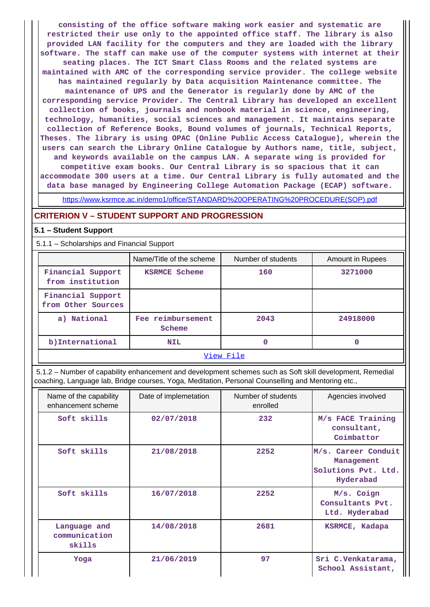**consisting of the office software making work easier and systematic are restricted their use only to the appointed office staff. The library is also provided LAN facility for the computers and they are loaded with the library software. The staff can make use of the computer systems with internet at their seating places. The ICT Smart Class Rooms and the related systems are maintained with AMC of the corresponding service provider. The college website has maintained regularly by Data acquisition Maintenance committee. The maintenance of UPS and the Generator is regularly done by AMC of the corresponding service Provider. The Central Library has developed an excellent collection of books, journals and nonbook material in science, engineering, technology, humanities, social sciences and management. It maintains separate collection of Reference Books, Bound volumes of journals, Technical Reports, Theses. The library is using OPAC (Online Public Access Catalogue), wherein the users can search the Library Online Catalogue by Authors name, title, subject, and keywords available on the campus LAN. A separate wing is provided for competitive exam books. Our Central Library is so spacious that it can accommodate 300 users at a time. Our Central Library is fully automated and the data base managed by Engineering College Automation Package (ECAP) software.**

[https://www.ksrmce.ac.in/demo1/office/STANDARD%20OPERATING%20PROCEDURE\(SOP\).pdf](https://www.ksrmce.ac.in/demo1/office/STANDARD%20OPERATING%20PROCEDURE(SOP).pdf)

#### **CRITERION V – STUDENT SUPPORT AND PROGRESSION**

#### **5.1 – Student Support**

5.1.1 – Scholarships and Financial Support

|                                         | Name/Title of the scheme    | Number of students | <b>Amount in Rupees</b> |  |  |
|-----------------------------------------|-----------------------------|--------------------|-------------------------|--|--|
| Financial Support<br>from institution   | <b>KSRMCE Scheme</b>        | 160                | 3271000                 |  |  |
| Financial Support<br>from Other Sources |                             |                    |                         |  |  |
| a) National                             | Fee reimbursement<br>Scheme | 2043               | 24918000                |  |  |
| b)International                         | <b>NIL</b>                  | 0                  | 0                       |  |  |
| View File                               |                             |                    |                         |  |  |

 5.1.2 – Number of capability enhancement and development schemes such as Soft skill development, Remedial coaching, Language lab, Bridge courses, Yoga, Meditation, Personal Counselling and Mentoring etc.,

| Name of the capability<br>enhancement scheme | Date of implemetation | Number of students<br>enrolled | Agencies involved                                                     |
|----------------------------------------------|-----------------------|--------------------------------|-----------------------------------------------------------------------|
| Soft skills                                  | 02/07/2018            | 232                            | M/s FACE Training<br>consultant,<br>Coimbattor                        |
| Soft skills                                  | 21/08/2018            | 2252                           | M/s. Career Conduit<br>Management<br>Solutions Pvt. Ltd.<br>Hyderabad |
| Soft skills                                  | 16/07/2018            | 2252                           | M/s. Coign<br>Consultants Pvt.<br>Ltd. Hyderabad                      |
| Language and<br>communication<br>skills      | 14/08/2018            | 2681                           | KSRMCE, Kadapa                                                        |
| Yoga                                         | 21/06/2019            | 97                             | Sri C.Venkatarama,<br>School Assistant,                               |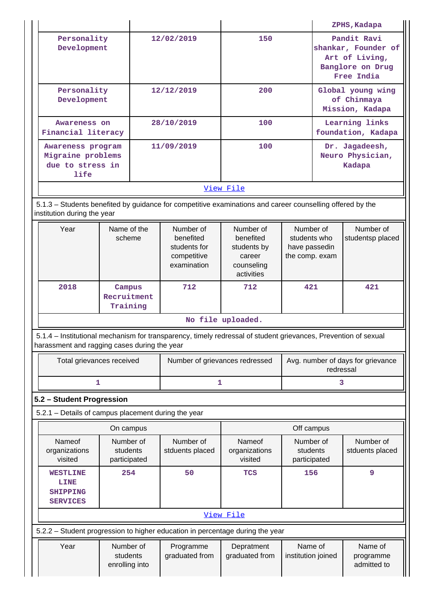|                                                                                                                                                                |                                         |            |                                                                      |                                                                             |                                                              |                                                                                        | ZPHS, Kadapa                         |  |
|----------------------------------------------------------------------------------------------------------------------------------------------------------------|-----------------------------------------|------------|----------------------------------------------------------------------|-----------------------------------------------------------------------------|--------------------------------------------------------------|----------------------------------------------------------------------------------------|--------------------------------------|--|
| Personality<br>Development                                                                                                                                     |                                         |            | 12/02/2019                                                           | 150                                                                         |                                                              | Pandit Ravi<br>shankar, Founder of<br>Art of Living,<br>Banglore on Drug<br>Free India |                                      |  |
| Personality<br>Development                                                                                                                                     |                                         | 12/12/2019 |                                                                      | 200                                                                         |                                                              | Global young wing<br>of Chinmaya<br>Mission, Kadapa                                    |                                      |  |
| Awareness on<br>Financial literacy                                                                                                                             |                                         |            | 28/10/2019                                                           | 100                                                                         |                                                              |                                                                                        | Learning links<br>foundation, Kadapa |  |
| Awareness program<br>Migraine problems<br>due to stress in<br>life                                                                                             |                                         |            | 11/09/2019                                                           | 100                                                                         |                                                              | Dr. Jagadeesh,<br>Neuro Physician,<br>Kadapa                                           |                                      |  |
|                                                                                                                                                                |                                         |            |                                                                      | View File                                                                   |                                                              |                                                                                        |                                      |  |
| 5.1.3 – Students benefited by guidance for competitive examinations and career counselling offered by the<br>institution during the year                       |                                         |            |                                                                      |                                                                             |                                                              |                                                                                        |                                      |  |
| Year                                                                                                                                                           | Name of the<br>scheme                   |            | Number of<br>benefited<br>students for<br>competitive<br>examination | Number of<br>benefited<br>students by<br>career<br>counseling<br>activities | Number of<br>students who<br>have passedin<br>the comp. exam |                                                                                        | Number of<br>studentsp placed        |  |
| 2018                                                                                                                                                           | Campus<br>Recruitment<br>Training       |            | 712                                                                  | 712                                                                         | 421                                                          |                                                                                        | 421                                  |  |
|                                                                                                                                                                |                                         |            |                                                                      | No file uploaded.                                                           |                                                              |                                                                                        |                                      |  |
| 5.1.4 – Institutional mechanism for transparency, timely redressal of student grievances, Prevention of sexual<br>harassment and ragging cases during the year |                                         |            |                                                                      |                                                                             |                                                              |                                                                                        |                                      |  |
| Total grievances received                                                                                                                                      |                                         |            | Number of grievances redressed                                       |                                                                             |                                                              | Avg. number of days for grievance<br>redressal                                         |                                      |  |
|                                                                                                                                                                | 1                                       |            | 1                                                                    |                                                                             |                                                              | 3                                                                                      |                                      |  |
| 5.2 - Student Progression                                                                                                                                      |                                         |            |                                                                      |                                                                             |                                                              |                                                                                        |                                      |  |
| 5.2.1 - Details of campus placement during the year                                                                                                            |                                         |            |                                                                      |                                                                             |                                                              |                                                                                        |                                      |  |
|                                                                                                                                                                | On campus                               |            |                                                                      |                                                                             | Off campus                                                   |                                                                                        |                                      |  |
| Nameof<br>organizations<br>visited                                                                                                                             | Number of<br>students<br>participated   |            | Number of<br>stduents placed                                         | Nameof<br>organizations<br>visited                                          | Number of<br>students<br>participated                        |                                                                                        | Number of<br>stduents placed         |  |
| <b>WESTLINE</b><br><b>LINE</b><br><b>SHIPPING</b><br><b>SERVICES</b>                                                                                           | 254                                     |            | 50                                                                   | <b>TCS</b>                                                                  | 156                                                          |                                                                                        | 9                                    |  |
|                                                                                                                                                                |                                         |            |                                                                      | View File                                                                   |                                                              |                                                                                        |                                      |  |
| 5.2.2 - Student progression to higher education in percentage during the year                                                                                  |                                         |            |                                                                      |                                                                             |                                                              |                                                                                        |                                      |  |
| Year                                                                                                                                                           | Number of<br>students<br>enrolling into |            | Programme<br>graduated from                                          | Depratment<br>graduated from                                                | Name of<br>institution joined                                |                                                                                        | Name of<br>programme<br>admitted to  |  |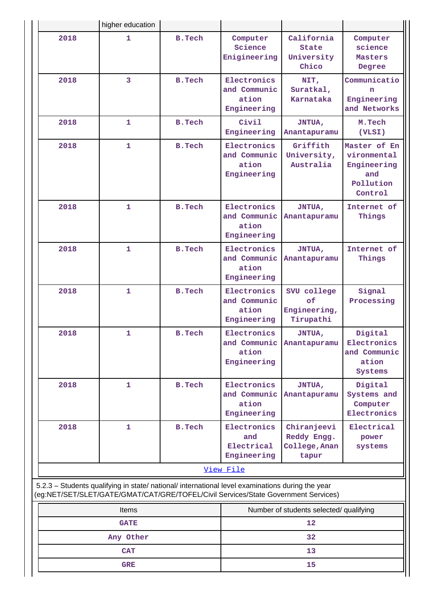|                                                                                                                                                                                        | higher education                                 |               |                                                     |                                                      |                                                                           |  |  |
|----------------------------------------------------------------------------------------------------------------------------------------------------------------------------------------|--------------------------------------------------|---------------|-----------------------------------------------------|------------------------------------------------------|---------------------------------------------------------------------------|--|--|
| 2018                                                                                                                                                                                   | $\mathbf{1}$                                     | <b>B.Tech</b> | Computer<br>Science<br>Enigineering                 | California<br><b>State</b><br>University<br>Chico    | Computer<br>science<br>Masters<br>Degree                                  |  |  |
| 2018                                                                                                                                                                                   | 3                                                | <b>B.Tech</b> | Electronics<br>and Communic<br>ation<br>Engineering | NIT,<br>Suratkal,<br>Karnataka                       | Communicatio<br>n<br>Engineering<br>and Networks                          |  |  |
| 2018                                                                                                                                                                                   | $\mathbf{1}$                                     | <b>B.Tech</b> | Civil<br>Engineering                                | <b>JNTUA,</b><br>Anantapuramu                        | M.Tech<br>(VLSI)                                                          |  |  |
| 2018                                                                                                                                                                                   | $\mathbf{1}$                                     | <b>B.Tech</b> | Electronics<br>and Communic<br>ation<br>Engineering | Griffith<br>University,<br>Australia                 | Master of En<br>vironmental<br>Engineering<br>and<br>Pollution<br>Control |  |  |
| 2018                                                                                                                                                                                   | $\mathbf{1}$                                     | <b>B.Tech</b> | Electronics<br>and Communic<br>ation<br>Engineering | <b>JNTUA,</b><br>Anantapuramu                        | Internet of<br>Things                                                     |  |  |
| 2018                                                                                                                                                                                   | $\mathbf{1}$                                     | <b>B.Tech</b> | Electronics<br>and Communic<br>ation<br>Engineering | <b>JNTUA,</b><br>Anantapuramu                        | Internet of<br>Things                                                     |  |  |
| 2018                                                                                                                                                                                   | $\mathbf{1}$                                     | <b>B.Tech</b> | Electronics<br>and Communic<br>ation<br>Engineering | SVU college<br>of<br>Engineering,<br>Tirupathi       | Signal<br>Processing                                                      |  |  |
| 2018                                                                                                                                                                                   | 1                                                | <b>B.Tech</b> | Electronics<br>and Communic<br>ation<br>Engineering | JNTUA,<br>Anantapuramu                               | Digital<br>Electronics<br>and Communic<br>ation<br>Systems                |  |  |
| 2018                                                                                                                                                                                   | 1                                                | <b>B.Tech</b> | Electronics<br>and Communic<br>ation<br>Engineering | JNTUA,<br>Anantapuramu                               | Digital<br>Systems and<br>Computer<br>Electronics                         |  |  |
| 2018                                                                                                                                                                                   | 1                                                | <b>B.Tech</b> | Electronics<br>and<br>Electrical<br>Engineering     | Chiranjeevi<br>Reddy Engg.<br>College, Anan<br>tapur | Electrical<br>power<br>systems                                            |  |  |
|                                                                                                                                                                                        |                                                  |               | View File                                           |                                                      |                                                                           |  |  |
| 5.2.3 - Students qualifying in state/ national/ international level examinations during the year<br>(eg:NET/SET/SLET/GATE/GMAT/CAT/GRE/TOFEL/Civil Services/State Government Services) |                                                  |               |                                                     |                                                      |                                                                           |  |  |
|                                                                                                                                                                                        | Items<br>Number of students selected/ qualifying |               |                                                     |                                                      |                                                                           |  |  |

| <b>Items</b> | Number of students selected/ qualifying |
|--------------|-----------------------------------------|
| <b>GATE</b>  | 12                                      |
| Any Other    | 32                                      |
| <b>CAT</b>   | 13                                      |
| <b>GRE</b>   | 15                                      |
|              |                                         |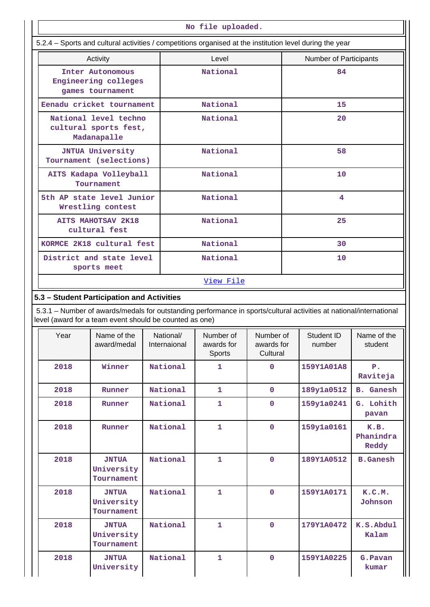| No file uploaded.                                                                                                                                                              |                                                                                                          |  |                           |                                   |                                     |    |                        |                            |
|--------------------------------------------------------------------------------------------------------------------------------------------------------------------------------|----------------------------------------------------------------------------------------------------------|--|---------------------------|-----------------------------------|-------------------------------------|----|------------------------|----------------------------|
|                                                                                                                                                                                | 5.2.4 - Sports and cultural activities / competitions organised at the institution level during the year |  |                           |                                   |                                     |    |                        |                            |
| Activity                                                                                                                                                                       |                                                                                                          |  | Level                     |                                   |                                     |    | Number of Participants |                            |
| Inter Autonomous<br>Engineering colleges<br>games tournament                                                                                                                   |                                                                                                          |  | National                  |                                   |                                     |    | 84                     |                            |
|                                                                                                                                                                                | Eenadu cricket tournament                                                                                |  |                           | National                          |                                     |    | 15                     |                            |
|                                                                                                                                                                                | National level techno<br>cultural sports fest,<br>Madanapalle                                            |  |                           | National                          |                                     |    | 20                     |                            |
|                                                                                                                                                                                | <b>JNTUA University</b><br>Tournament (selections)                                                       |  |                           | National                          |                                     |    | 58                     |                            |
|                                                                                                                                                                                | AITS Kadapa Volleyball<br>Tournament                                                                     |  |                           | National                          |                                     |    | 10                     |                            |
|                                                                                                                                                                                | 5th AP state level Junior<br>Wrestling contest                                                           |  |                           | <b>National</b>                   |                                     |    | 4                      |                            |
|                                                                                                                                                                                | <b>AITS MAHOTSAV 2K18</b><br>cultural fest                                                               |  |                           | National                          |                                     |    | 25                     |                            |
|                                                                                                                                                                                | KORMCE 2K18 cultural fest                                                                                |  |                           | National                          |                                     |    | 30                     |                            |
|                                                                                                                                                                                | District and state level<br>sports meet                                                                  |  | National                  |                                   |                                     | 10 |                        |                            |
|                                                                                                                                                                                |                                                                                                          |  |                           | View File                         |                                     |    |                        |                            |
| 5.3 - Student Participation and Activities                                                                                                                                     |                                                                                                          |  |                           |                                   |                                     |    |                        |                            |
| 5.3.1 – Number of awards/medals for outstanding performance in sports/cultural activities at national/international<br>level (award for a team event should be counted as one) |                                                                                                          |  |                           |                                   |                                     |    |                        |                            |
| Year                                                                                                                                                                           | Name of the<br>award/medal                                                                               |  | National/<br>Internaional | Number of<br>awards for<br>Sports | Number of<br>awards for<br>Cultural |    | Student ID<br>number   | Name of the<br>student     |
| 2018                                                                                                                                                                           | Winner                                                                                                   |  | National                  | 1                                 | $\mathbf 0$                         |    | 159Y1A01A8             | $P$ .<br>Raviteja          |
| 2018                                                                                                                                                                           | Runner                                                                                                   |  | National                  | $\mathbf{1}$                      | $\mathbf 0$                         |    | 189y1a0512             | <b>B.</b> Ganesh           |
| 2018                                                                                                                                                                           | Runner                                                                                                   |  | National                  | 1                                 | $\mathbf 0$                         |    | 159y1a0241             | G. Lohith<br>pavan         |
| 2018                                                                                                                                                                           | Runner                                                                                                   |  | National                  | 1                                 | $\mathbf 0$                         |    | 159y1a0161             | K.B.<br>Phanindra<br>Reddy |
| 2018                                                                                                                                                                           | <b>JNTUA</b><br>University<br>Tournament                                                                 |  | National                  | $\mathbf{1}$                      | $\mathbf 0$                         |    | 189Y1A0512             | <b>B.Ganesh</b>            |
| 2018                                                                                                                                                                           | <b>JNTUA</b><br>University<br>Tournament                                                                 |  | National                  | $\mathbf{1}$                      | $\mathbf 0$                         |    | 159Y1A0171             | K.C.M.<br>Johnson          |
| 2018                                                                                                                                                                           | <b>JNTUA</b><br>University<br>Tournament                                                                 |  | National                  | 1                                 | $\mathbf 0$                         |    | 179Y1A0472             | K.S.Abdul<br>Kalam         |
| 2018                                                                                                                                                                           | <b>JNTUA</b><br>University                                                                               |  | National                  | $\mathbf{1}$                      | $\mathbf 0$                         |    | 159Y1A0225             | G. Pavan<br>kumar          |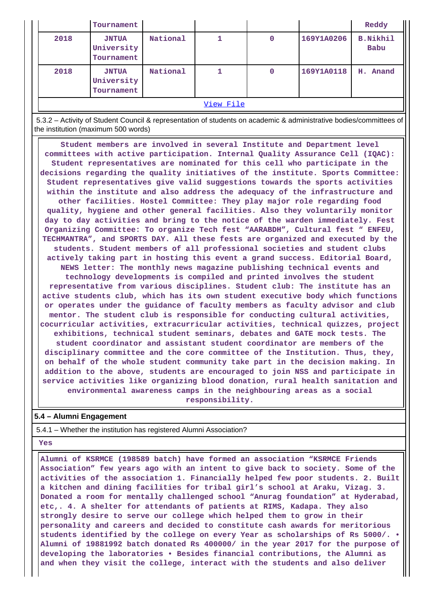|           | Tournament                               |          |  |   |            | Reddy                   |
|-----------|------------------------------------------|----------|--|---|------------|-------------------------|
| 2018      | <b>JNTUA</b><br>University<br>Tournament | National |  | 0 | 169Y1A0206 | <b>B.Nikhil</b><br>Babu |
| 2018      | <b>JNTUA</b><br>University<br>Tournament | National |  | 0 | 169Y1A0118 | H. Anand                |
| View File |                                          |          |  |   |            |                         |

 5.3.2 – Activity of Student Council & representation of students on academic & administrative bodies/committees of the institution (maximum 500 words)

 **Student members are involved in several Institute and Department level committees with active participation. Internal Quality Assurance Cell (IQAC): Student representatives are nominated for this cell who participate in the decisions regarding the quality initiatives of the institute. Sports Committee: Student representatives give valid suggestions towards the sports activities within the institute and also address the adequacy of the infrastructure and other facilities. Hostel Committee: They play major role regarding food quality, hygiene and other general facilities. Also they voluntarily monitor day to day activities and bring to the notice of the warden immediately. Fest Organizing Committee: To organize Tech fest "AARABDH", Cultural fest " ENFEU, TECHMANTRA", and SPORTS DAY. All these fests are organized and executed by the students. Student members of all professional societies and student clubs actively taking part in hosting this event a grand success. Editorial Board, NEWS letter: The monthly news magazine publishing technical events and technology developments is compiled and printed involves the student representative from various disciplines. Student club: The institute has an active students club, which has its own student executive body which functions or operates under the guidance of faculty members as faculty advisor and club mentor. The student club is responsible for conducting cultural activities, cocurricular activities, extracurricular activities, technical quizzes, project exhibitions, technical student seminars, debates and GATE mock tests. The student coordinator and assistant student coordinator are members of the disciplinary committee and the core committee of the Institution. Thus, they, on behalf of the whole student community take part in the decision making. In addition to the above, students are encouraged to join NSS and participate in service activities like organizing blood donation, rural health sanitation and environmental awareness camps in the neighbouring areas as a social responsibility.**

#### **5.4 – Alumni Engagement**

5.4.1 – Whether the institution has registered Alumni Association?

 **Yes**

 **Alumni of KSRMCE (198589 batch) have formed an association "KSRMCE Friends Association" few years ago with an intent to give back to society. Some of the activities of the association 1. Financially helped few poor students. 2. Built a kitchen and dining facilities for tribal girl's school at Araku, Vizag. 3. Donated a room for mentally challenged school "Anurag foundation" at Hyderabad, etc,. 4. A shelter for attendants of patients at RIMS, Kadapa. They also strongly desire to serve our college which helped them to grow in their personality and careers and decided to constitute cash awards for meritorious students identified by the college on every Year as scholarships of Rs 5000/. • Alumni of 19881992 batch donated Rs 400000/ in the year 2017 for the purpose of developing the laboratories • Besides financial contributions, the Alumni as and when they visit the college, interact with the students and also deliver**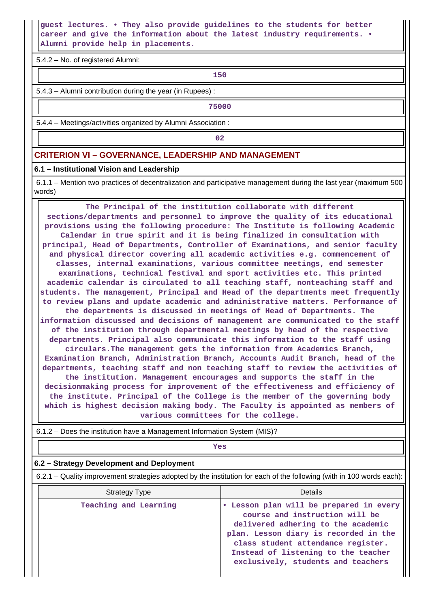## **guest lectures. • They also provide guidelines to the students for better career and give the information about the latest industry requirements. • Alumni provide help in placements.**

5.4.2 – No. of registered Alumni:

**150**

5.4.3 – Alumni contribution during the year (in Rupees) :

**75000**

5.4.4 – Meetings/activities organized by Alumni Association :

**02**

## **CRITERION VI – GOVERNANCE, LEADERSHIP AND MANAGEMENT**

#### **6.1 – Institutional Vision and Leadership**

 6.1.1 – Mention two practices of decentralization and participative management during the last year (maximum 500 words)

 **The Principal of the institution collaborate with different sections/departments and personnel to improve the quality of its educational provisions using the following procedure: The Institute is following Academic Calendar in true spirit and it is being finalized in consultation with principal, Head of Departments, Controller of Examinations, and senior faculty and physical director covering all academic activities e.g. commencement of classes, internal examinations, various committee meetings, end semester examinations, technical festival and sport activities etc. This printed academic calendar is circulated to all teaching staff, nonteaching staff and students. The management, Principal and Head of the departments meet frequently to review plans and update academic and administrative matters. Performance of the departments is discussed in meetings of Head of Departments. The information discussed and decisions of management are communicated to the staff of the institution through departmental meetings by head of the respective departments. Principal also communicate this information to the staff using circulars.The management gets the information from Academics Branch, Examination Branch, Administration Branch, Accounts Audit Branch, head of the departments, teaching staff and non teaching staff to review the activities of the institution. Management encourages and supports the staff in the decisionmaking process for improvement of the effectiveness and efficiency of the institute. Principal of the College is the member of the governing body which is highest decision making body. The Faculty is appointed as members of various committees for the college.**

6.1.2 – Does the institution have a Management Information System (MIS)?

## *Yes*

#### **6.2 – Strategy Development and Deployment**

6.2.1 – Quality improvement strategies adopted by the institution for each of the following (with in 100 words each):

| <b>Strategy Type</b>  | Details                                                                                                                                                                                                                                                                     |
|-----------------------|-----------------------------------------------------------------------------------------------------------------------------------------------------------------------------------------------------------------------------------------------------------------------------|
| Teaching and Learning | • Lesson plan will be prepared in every<br>course and instruction will be<br>delivered adhering to the academic<br>plan. Lesson diary is recorded in the<br>class student attendance register.<br>Instead of listening to the teacher<br>exclusively, students and teachers |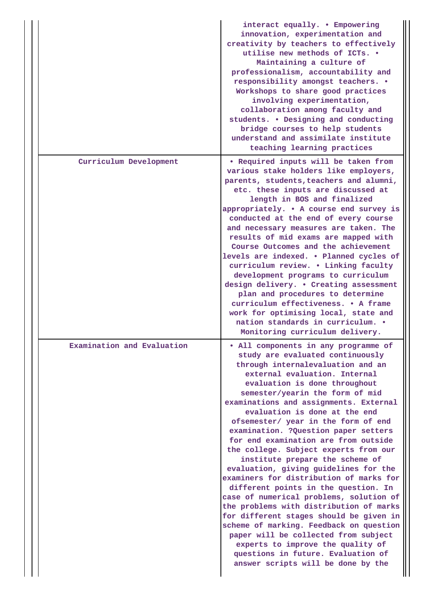|  |                            | interact equally. . Empowering<br>innovation, experimentation and<br>creativity by teachers to effectively<br>utilise new methods of ICTs. .<br>Maintaining a culture of<br>professionalism, accountability and<br>responsibility amongst teachers. .<br>Workshops to share good practices<br>involving experimentation,<br>collaboration among faculty and<br>students. . Designing and conducting<br>bridge courses to help students<br>understand and assimilate institute<br>teaching learning practices                                                                                                                                                                                                                                                                                                                                                                                                                                                       |
|--|----------------------------|--------------------------------------------------------------------------------------------------------------------------------------------------------------------------------------------------------------------------------------------------------------------------------------------------------------------------------------------------------------------------------------------------------------------------------------------------------------------------------------------------------------------------------------------------------------------------------------------------------------------------------------------------------------------------------------------------------------------------------------------------------------------------------------------------------------------------------------------------------------------------------------------------------------------------------------------------------------------|
|  | Curriculum Development     | . Required inputs will be taken from<br>various stake holders like employers,<br>parents, students, teachers and alumni,<br>etc. these inputs are discussed at<br>length in BOS and finalized<br>appropriately. . A course end survey is<br>conducted at the end of every course<br>and necessary measures are taken. The<br>results of mid exams are mapped with<br>Course Outcomes and the achievement<br>levels are indexed. . Planned cycles of<br>curriculum review. . Linking faculty<br>development programs to curriculum<br>design delivery. . Creating assessment<br>plan and procedures to determine<br>curriculum effectiveness. . A frame<br>work for optimising local, state and<br>nation standards in curriculum. .<br>Monitoring curriculum delivery.                                                                                                                                                                                             |
|  | Examination and Evaluation | . All components in any programme of<br>study are evaluated continuously<br>through internalevaluation and an<br>external evaluation. Internal<br>evaluation is done throughout<br>semester/yearin the form of mid<br>examinations and assignments. External<br>evaluation is done at the end<br>ofsemester/ year in the form of end<br>examination. ? Question paper setters<br>for end examination are from outside<br>the college. Subject experts from our<br>institute prepare the scheme of<br>evaluation, giving guidelines for the<br>examiners for distribution of marks for<br>different points in the question. In<br>case of numerical problems, solution of<br>the problems with distribution of marks<br>for different stages should be given in<br>scheme of marking. Feedback on question<br>paper will be collected from subject<br>experts to improve the quality of<br>questions in future. Evaluation of<br>answer scripts will be done by the |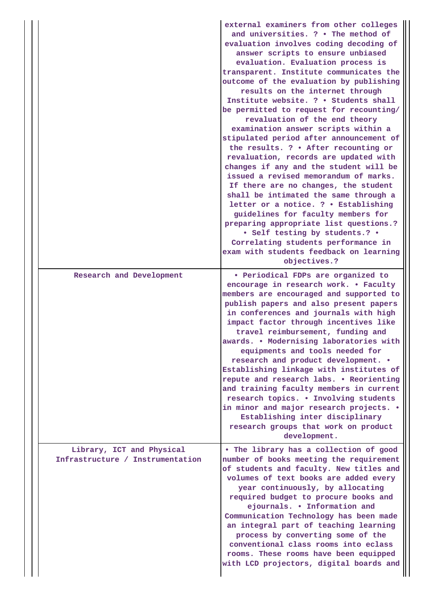|  |                                                               | external examiners from other colleges<br>and universities. ? . The method of<br>evaluation involves coding decoding of<br>answer scripts to ensure unbiased<br>evaluation. Evaluation process is<br>transparent. Institute communicates the<br>outcome of the evaluation by publishing<br>results on the internet through<br>Institute website. ? . Students shall<br>be permitted to request for recounting/<br>revaluation of the end theory<br>examination answer scripts within a<br>stipulated period after announcement of<br>the results. ? . After recounting or<br>revaluation, records are updated with<br>changes if any and the student will be<br>issued a revised memorandum of marks.<br>If there are no changes, the student<br>shall be intimated the same through a<br>letter or a notice. ? . Establishing<br>guidelines for faculty members for<br>preparing appropriate list questions.?<br>• Self testing by students.? •<br>Correlating students performance in<br>exam with students feedback on learning<br>objectives.? |
|--|---------------------------------------------------------------|----------------------------------------------------------------------------------------------------------------------------------------------------------------------------------------------------------------------------------------------------------------------------------------------------------------------------------------------------------------------------------------------------------------------------------------------------------------------------------------------------------------------------------------------------------------------------------------------------------------------------------------------------------------------------------------------------------------------------------------------------------------------------------------------------------------------------------------------------------------------------------------------------------------------------------------------------------------------------------------------------------------------------------------------------|
|  | Research and Development                                      | • Periodical FDPs are organized to                                                                                                                                                                                                                                                                                                                                                                                                                                                                                                                                                                                                                                                                                                                                                                                                                                                                                                                                                                                                                 |
|  |                                                               | encourage in research work. . Faculty<br>members are encouraged and supported to<br>publish papers and also present papers<br>in conferences and journals with high<br>impact factor through incentives like<br>travel reimbursement, funding and<br>awards. . Modernising laboratories with<br>equipments and tools needed for<br>research and product development. .<br>Establishing linkage with institutes of<br>repute and research labs. . Reorienting<br>and training faculty members in current<br>research topics. . Involving students<br>in minor and major research projects. .<br>Establishing inter disciplinary<br>research groups that work on product<br>development.                                                                                                                                                                                                                                                                                                                                                             |
|  | Library, ICT and Physical<br>Infrastructure / Instrumentation | . The library has a collection of good<br>number of books meeting the requirement<br>of students and faculty. New titles and<br>volumes of text books are added every<br>year continuously, by allocating<br>required budget to procure books and<br>ejournals. . Information and<br>Communication Technology has been made<br>an integral part of teaching learning<br>process by converting some of the<br>conventional class rooms into eclass<br>rooms. These rooms have been equipped<br>with LCD projectors, digital boards and                                                                                                                                                                                                                                                                                                                                                                                                                                                                                                              |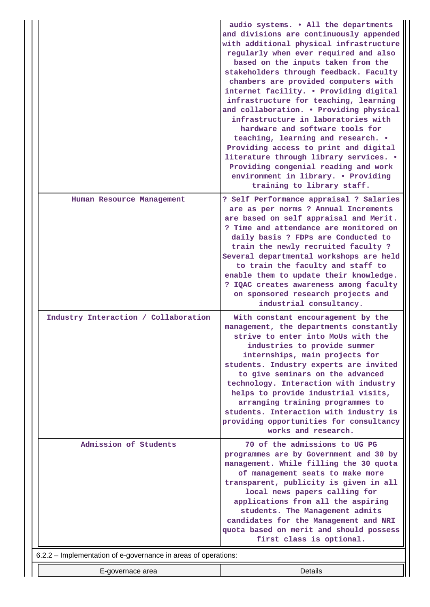|                                                                | audio systems. . All the departments<br>and divisions are continuously appended<br>with additional physical infrastructure<br>regularly when ever required and also<br>based on the inputs taken from the<br>stakeholders through feedback. Faculty<br>chambers are provided computers with<br>internet facility. . Providing digital<br>infrastructure for teaching, learning<br>and collaboration. . Providing physical<br>infrastructure in laboratories with<br>hardware and software tools for<br>teaching, learning and research. .<br>Providing access to print and digital<br>literature through library services. .<br>Providing congenial reading and work<br>environment in library. . Providing<br>training to library staff. |
|----------------------------------------------------------------|-------------------------------------------------------------------------------------------------------------------------------------------------------------------------------------------------------------------------------------------------------------------------------------------------------------------------------------------------------------------------------------------------------------------------------------------------------------------------------------------------------------------------------------------------------------------------------------------------------------------------------------------------------------------------------------------------------------------------------------------|
| Human Resource Management                                      | ? Self Performance appraisal ? Salaries<br>are as per norms ? Annual Increments<br>are based on self appraisal and Merit.<br>? Time and attendance are monitored on<br>daily basis ? FDPs are Conducted to<br>train the newly recruited faculty?<br>Several departmental workshops are held<br>to train the faculty and staff to<br>enable them to update their knowledge.<br>? IQAC creates awareness among faculty<br>on sponsored research projects and<br>industrial consultancy.                                                                                                                                                                                                                                                     |
| Industry Interaction / Collaboration                           | With constant encouragement by the<br>management, the departments constantly<br>strive to enter into MoUs with the<br>industries to provide summer<br>internships, main projects for<br>students. Industry experts are invited<br>to give seminars on the advanced<br>technology. Interaction with industry<br>helps to provide industrial visits,<br>arranging training programmes to<br>students. Interaction with industry is<br>providing opportunities for consultancy<br>works and research.                                                                                                                                                                                                                                        |
| Admission of Students                                          | 70 of the admissions to UG PG<br>programmes are by Government and 30 by<br>management. While filling the 30 quota<br>of management seats to make more<br>transparent, publicity is given in all<br>local news papers calling for<br>applications from all the aspiring<br>students. The Management admits<br>candidates for the Management and NRI<br>quota based on merit and should possess<br>first class is optional.                                                                                                                                                                                                                                                                                                                 |
| 6.2.2 - Implementation of e-governance in areas of operations: |                                                                                                                                                                                                                                                                                                                                                                                                                                                                                                                                                                                                                                                                                                                                           |
| E-governace area                                               | <b>Details</b>                                                                                                                                                                                                                                                                                                                                                                                                                                                                                                                                                                                                                                                                                                                            |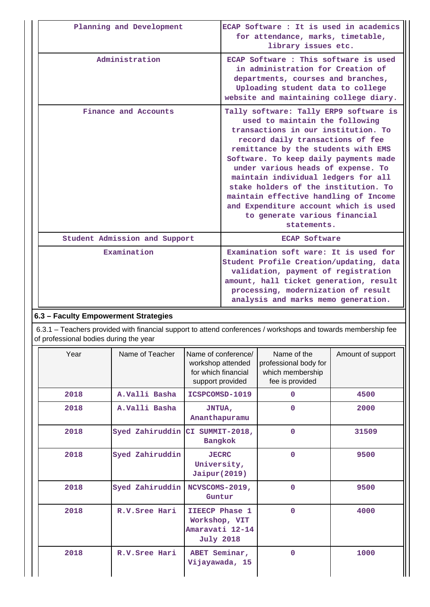| Planning and Development      | ECAP Software : It is used in academics<br>for attendance, marks, timetable,<br>library issues etc.                                                                                                                                                                                                                                                                                                                                                                                        |
|-------------------------------|--------------------------------------------------------------------------------------------------------------------------------------------------------------------------------------------------------------------------------------------------------------------------------------------------------------------------------------------------------------------------------------------------------------------------------------------------------------------------------------------|
| Administration                | ECAP Software: This software is used<br>in administration for Creation of<br>departments, courses and branches,<br>Uploading student data to college<br>website and maintaining college diary.                                                                                                                                                                                                                                                                                             |
| Finance and Accounts          | Tally software: Tally ERP9 software is<br>used to maintain the following<br>transactions in our institution. To<br>record daily transactions of fee<br>remittance by the students with EMS<br>Software. To keep daily payments made<br>under various heads of expense. To<br>maintain individual ledgers for all<br>stake holders of the institution. To<br>maintain effective handling of Income<br>and Expenditure account which is used<br>to generate various financial<br>statements. |
| Student Admission and Support | <b>ECAP Software</b>                                                                                                                                                                                                                                                                                                                                                                                                                                                                       |
| Examination                   | Examination soft ware: It is used for<br>Student Profile Creation/updating, data<br>validation, payment of registration<br>amount, hall ticket generation, result<br>processing, modernization of result<br>analysis and marks memo generation.                                                                                                                                                                                                                                            |

## **6.3 – Faculty Empowerment Strategies**

 6.3.1 – Teachers provided with financial support to attend conferences / workshops and towards membership fee of professional bodies during the year

| Year | Name of Teacher                 | Name of conference/<br>workshop attended<br>for which financial<br>support provided | Name of the<br>professional body for<br>which membership<br>fee is provided | Amount of support |
|------|---------------------------------|-------------------------------------------------------------------------------------|-----------------------------------------------------------------------------|-------------------|
| 2018 | A.Valli Basha                   | ICSPCOMSD-1019                                                                      | 0                                                                           | 4500              |
| 2018 | A.Valli Basha                   | <b>JNTUA,</b><br>Ananthapuramu                                                      | 0                                                                           | 2000              |
| 2018 | Syed Zahiruddin CI SUMMIT-2018, | <b>Bangkok</b>                                                                      | 0                                                                           | 31509             |
| 2018 | Syed Zahiruddin                 | <b>JECRC</b><br>University,<br>Jaipur (2019)                                        | 0                                                                           | 9500              |
| 2018 | Syed Zahiruddin                 | NCVSCOMS-2019,<br>Guntur                                                            | 0                                                                           | 9500              |
| 2018 | R.V. Sree Hari                  | IIEECP Phase 1<br>Workshop, VIT<br>Amaravati 12-14<br><b>July 2018</b>              | $\Omega$                                                                    | 4000              |
| 2018 | R.V. Sree Hari                  | ABET Seminar,<br>Vijayawada, 15                                                     | $\Omega$                                                                    | 1000              |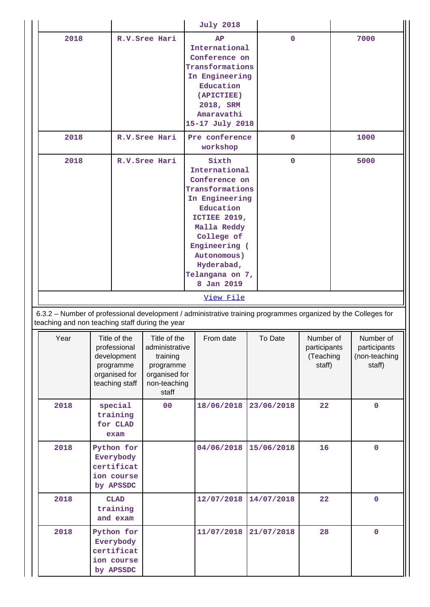|                                                                                                                       |  |                                                                                             |                                                                                                   | <b>July 2018</b>                                                                                                                                                                                                                          |             |                                                  |  |                                                      |
|-----------------------------------------------------------------------------------------------------------------------|--|---------------------------------------------------------------------------------------------|---------------------------------------------------------------------------------------------------|-------------------------------------------------------------------------------------------------------------------------------------------------------------------------------------------------------------------------------------------|-------------|--------------------------------------------------|--|------------------------------------------------------|
| 2018                                                                                                                  |  |                                                                                             | R.V.Sree Hari                                                                                     | AP<br>International<br>Conference on<br>Transformations<br>In Engineering<br>Education<br>(APICTIEE)<br>2018, SRM<br>Amaravathi<br>15-17 July 2018                                                                                        | $\mathbf 0$ |                                                  |  | 7000                                                 |
| 2018                                                                                                                  |  |                                                                                             | R.V. Sree Hari                                                                                    | Pre conference<br>workshop                                                                                                                                                                                                                | $\mathbf 0$ |                                                  |  | 1000                                                 |
| 2018<br>6.3.2 - Number of professional development / administrative training programmes organized by the Colleges for |  |                                                                                             | R.V. Sree Hari<br>teaching and non teaching staff during the year                                 | Sixth<br>International<br>Conference on<br>Transformations<br>In Engineering<br>Education<br>ICTIEE 2019,<br>Malla Reddy<br>College of<br>Engineering (<br>Autonomous)<br>Hyderabad,<br>Telangana on 7,<br>8 Jan 2019<br><u>View File</u> | $\mathbf 0$ |                                                  |  | 5000                                                 |
| Year                                                                                                                  |  | Title of the<br>professional<br>development<br>programme<br>organised for<br>teaching staff | Title of the<br>administrative<br>training<br>programme<br>organised for<br>non-teaching<br>staff | From date                                                                                                                                                                                                                                 | To Date     | Number of<br>participants<br>(Teaching<br>staff) |  | Number of<br>participants<br>(non-teaching<br>staff) |
| 2018                                                                                                                  |  | special<br>training<br>for CLAD<br>exam                                                     | 00                                                                                                | 18/06/2018                                                                                                                                                                                                                                | 23/06/2018  | 22                                               |  | $\mathbf 0$                                          |
| 2018                                                                                                                  |  | Python for<br>Everybody<br>certificat<br>ion course<br>by APSSDC                            |                                                                                                   | 04/06/2018                                                                                                                                                                                                                                | 15/06/2018  | 16                                               |  | $\mathbf 0$                                          |
| 2018                                                                                                                  |  | <b>CLAD</b><br>training<br>and exam                                                         |                                                                                                   | 12/07/2018                                                                                                                                                                                                                                | 14/07/2018  | 22                                               |  | $\mathbf 0$                                          |
| 2018                                                                                                                  |  | Python for<br>Everybody<br>certificat<br>ion course<br>by APSSDC                            |                                                                                                   | 11/07/2018                                                                                                                                                                                                                                | 21/07/2018  | 28                                               |  | $\pmb{0}$                                            |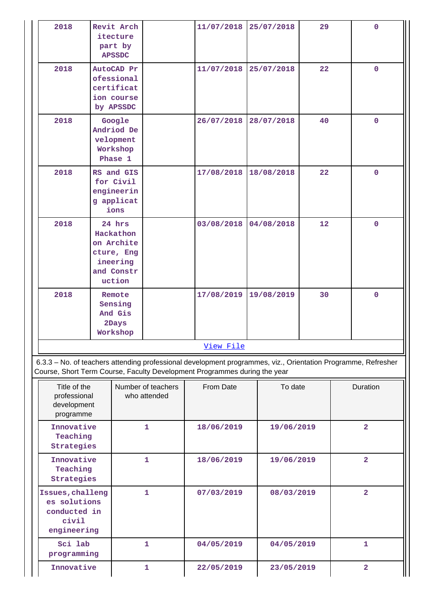| 2018                                                                                                                                                                                       |                                      | Revit Arch<br>itecture<br>part by<br><b>APSSDC</b>                                  |                                    | 11/07/2018 |            | 25/07/2018 | 29 | $\mathbf 0$             |
|--------------------------------------------------------------------------------------------------------------------------------------------------------------------------------------------|--------------------------------------|-------------------------------------------------------------------------------------|------------------------------------|------------|------------|------------|----|-------------------------|
| 2018                                                                                                                                                                                       |                                      | AutoCAD Pr<br>ofessional<br>certificat<br>ion course<br>by APSSDC                   |                                    | 11/07/2018 |            | 25/07/2018 | 22 | 0                       |
| 2018                                                                                                                                                                                       |                                      | Google<br>Andriod De<br>velopment<br>Workshop<br>Phase 1                            |                                    | 26/07/2018 |            | 28/07/2018 | 40 | $\mathbf 0$             |
| 2018                                                                                                                                                                                       |                                      | RS and GIS<br>for Civil<br>engineerin<br>g applicat<br>ions                         |                                    | 17/08/2018 |            | 18/08/2018 | 22 | $\mathbf 0$             |
| 2018                                                                                                                                                                                       |                                      | 24 hrs<br>Hackathon<br>on Archite<br>cture, Eng<br>ineering<br>and Constr<br>uction |                                    | 03/08/2018 |            | 04/08/2018 | 12 | $\mathbf 0$             |
| 2018                                                                                                                                                                                       |                                      | Remote<br>Sensing<br>And Gis<br>2Days<br>Workshop                                   |                                    | 17/08/2019 | 19/08/2019 |            | 30 | 0                       |
|                                                                                                                                                                                            |                                      |                                                                                     |                                    | View File  |            |            |    |                         |
| 6.3.3 - No. of teachers attending professional development programmes, viz., Orientation Programme, Refresher<br>Course, Short Term Course, Faculty Development Programmes during the year |                                      |                                                                                     |                                    |            |            |            |    |                         |
| Title of the<br>professional<br>development<br>programme                                                                                                                                   |                                      |                                                                                     | Number of teachers<br>who attended | From Date  |            | To date    |    | Duration                |
| Innovative<br>Teaching<br>Strategies                                                                                                                                                       |                                      |                                                                                     | $\mathbf{1}$                       | 18/06/2019 |            | 19/06/2019 |    | $\overline{a}$          |
|                                                                                                                                                                                            | Innovative<br>Teaching<br>Strategies |                                                                                     | 1                                  | 18/06/2019 | 19/06/2019 |            |    | $\overline{\mathbf{2}}$ |
| Issues, challeng<br>es solutions<br>conducted in<br>civil<br>engineering                                                                                                                   |                                      |                                                                                     | $\mathbf{1}$                       | 07/03/2019 |            | 08/03/2019 |    | $\overline{\mathbf{2}}$ |
| Sci lab<br>programming                                                                                                                                                                     |                                      |                                                                                     | $\mathbf{1}$                       | 04/05/2019 |            | 04/05/2019 |    | $\mathbf{1}$            |
| Innovative                                                                                                                                                                                 |                                      |                                                                                     | 1                                  | 22/05/2019 |            | 23/05/2019 |    | $\overline{\mathbf{2}}$ |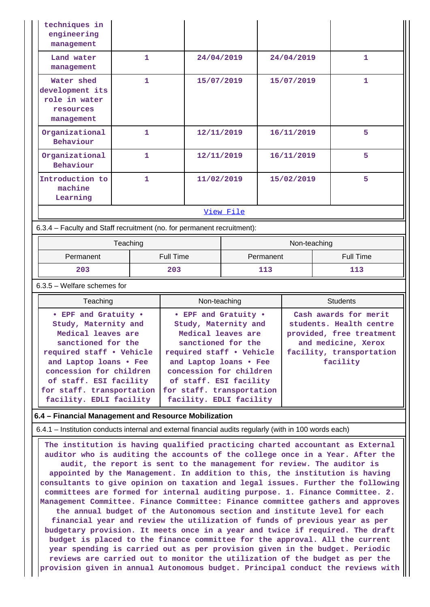| techniques in<br>engineering<br>management                                |              |            |            |   |  |  |  |
|---------------------------------------------------------------------------|--------------|------------|------------|---|--|--|--|
| Land water<br>management                                                  | 1            | 24/04/2019 | 24/04/2019 | 1 |  |  |  |
| Water shed<br>development its<br>role in water<br>resources<br>management | 1            | 15/07/2019 | 15/07/2019 | 1 |  |  |  |
| Organizational<br>Behaviour                                               | 1            | 12/11/2019 | 16/11/2019 | 5 |  |  |  |
| Organizational<br>Behaviour                                               | $\mathbf{1}$ | 12/11/2019 | 16/11/2019 | 5 |  |  |  |
| Introduction to<br>machine<br>Learning                                    | 1            | 11/02/2019 | 15/02/2019 | 5 |  |  |  |
|                                                                           | View File    |            |            |   |  |  |  |
| 6.3.4 – Faculty and Staff recruitment (no. for permanent recruitment):    |              |            |            |   |  |  |  |

|           | Teaching  | Non-teaching |                  |  |
|-----------|-----------|--------------|------------------|--|
| Permanent | Full Time | Permanent    | <b>Full Time</b> |  |
| 203       | 203       | 113          | 113              |  |

6.3.5 – Welfare schemes for

| Teaching                                                                                                                                                                                                                                                    | Non-teaching                                                                                                                                                                                                                                                | <b>Students</b>                                                                                                                             |  |
|-------------------------------------------------------------------------------------------------------------------------------------------------------------------------------------------------------------------------------------------------------------|-------------------------------------------------------------------------------------------------------------------------------------------------------------------------------------------------------------------------------------------------------------|---------------------------------------------------------------------------------------------------------------------------------------------|--|
| • EPF and Gratuity •<br>Study, Maternity and<br>Medical leaves are<br>sanctioned for the<br>required staff • Vehicle<br>and Laptop loans • Fee<br>concession for children<br>of staff. ESI facility<br>for staff. transportation<br>facility. EDLI facility | • EPF and Gratuity •<br>Study, Maternity and<br>Medical leaves are<br>sanctioned for the<br>required staff • Vehicle<br>and Laptop loans . Fee<br>concession for children<br>of staff. ESI facility<br>for staff. transportation<br>facility. EDLI facility | Cash awards for merit<br>students. Health centre<br>provided, free treatment<br>and medicine, Xerox<br>facility, transportation<br>facility |  |

#### **6.4 – Financial Management and Resource Mobilization**

6.4.1 – Institution conducts internal and external financial audits regularly (with in 100 words each)

 **The institution is having qualified practicing charted accountant as External auditor who is auditing the accounts of the college once in a Year. After the audit, the report is sent to the management for review. The auditor is appointed by the Management. In addition to this, the institution is having consultants to give opinion on taxation and legal issues. Further the following committees are formed for internal auditing purpose. 1. Finance Committee. 2. Management Committee. Finance Committee: Finance committee gathers and approves the annual budget of the Autonomous section and institute level for each financial year and review the utilization of funds of previous year as per budgetary provision. It meets once in a year and twice if required. The draft budget is placed to the finance committee for the approval. All the current year spending is carried out as per provision given in the budget. Periodic reviews are carried out to monitor the utilization of the budget as per the provision given in annual Autonomous budget. Principal conduct the reviews with**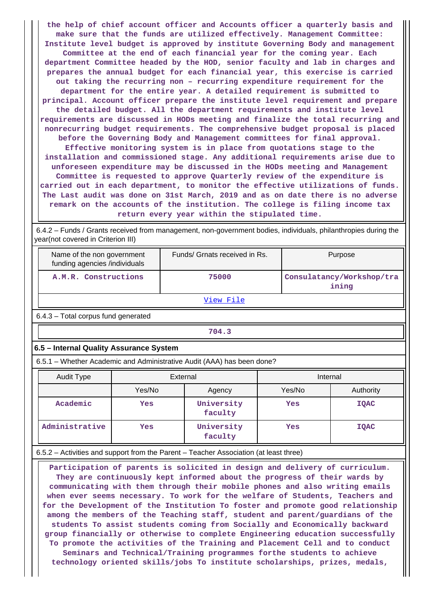**the help of chief account officer and Accounts officer a quarterly basis and make sure that the funds are utilized effectively. Management Committee: Institute level budget is approved by institute Governing Body and management Committee at the end of each financial year for the coming year. Each department Committee headed by the HOD, senior faculty and lab in charges and prepares the annual budget for each financial year, this exercise is carried out taking the recurring non – recurring expenditure requirement for the department for the entire year. A detailed requirement is submitted to principal. Account officer prepare the institute level requirement and prepare the detailed budget. All the department requirements and institute level requirements are discussed in HODs meeting and finalize the total recurring and nonrecurring budget requirements. The comprehensive budget proposal is placed before the Governing Body and Management committees for final approval. Effective monitoring system is in place from quotations stage to the installation and commissioned stage. Any additional requirements arise due to unforeseen expenditure may be discussed in the HODs meeting and Management Committee is requested to approve Quarterly review of the expenditure is carried out in each department, to monitor the effective utilizations of funds. The Last audit was done on 31st March, 2019 and as on date there is no adverse remark on the accounts of the institution. The college is filing income tax return every year within the stipulated time.**

 6.4.2 – Funds / Grants received from management, non-government bodies, individuals, philanthropies during the year(not covered in Criterion III)

| Name of the non government<br>funding agencies /individuals | Funds/ Grnats received in Rs. | Purpose                            |  |  |  |  |  |
|-------------------------------------------------------------|-------------------------------|------------------------------------|--|--|--|--|--|
| A.M.R. Constructions                                        | 75000                         | Consulatancy/Workshop/tra<br>ining |  |  |  |  |  |
| View File                                                   |                               |                                    |  |  |  |  |  |
| C <sub>4</sub> O <sub>T</sub> atal compute fund monomotod   |                               |                                    |  |  |  |  |  |

6.4.3 – Total corpus fund generated

**704.3**

## **6.5 – Internal Quality Assurance System**

6.5.1 – Whether Academic and Administrative Audit (AAA) has been done?

| Audit Type     | External |                       | Internal |             |  |
|----------------|----------|-----------------------|----------|-------------|--|
|                | Yes/No   | Agency                | Yes/No   | Authority   |  |
| Academic       | Yes      | University<br>faculty | Yes      | <b>IOAC</b> |  |
| Administrative | Yes      | University<br>faculty | Yes      | <b>IQAC</b> |  |

## 6.5.2 – Activities and support from the Parent – Teacher Association (at least three)

 **Participation of parents is solicited in design and delivery of curriculum. They are continuously kept informed about the progress of their wards by communicating with them through their mobile phones and also writing emails when ever seems necessary. To work for the welfare of Students, Teachers and for the Development of the Institution To foster and promote good relationship among the members of the Teaching staff, student and parent/guardians of the students To assist students coming from Socially and Economically backward group financially or otherwise to complete Engineering education successfully To promote the activities of the Training and Placement Cell and to conduct Seminars and Technical/Training programmes forthe students to achieve technology oriented skills/jobs To institute scholarships, prizes, medals,**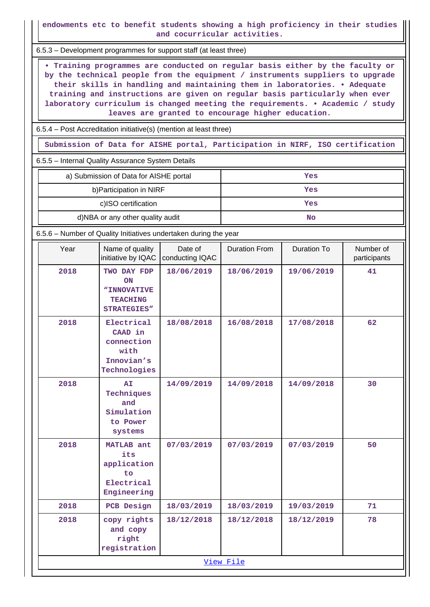**endowments etc to benefit students showing a high proficiency in their studies and cocurricular activities.**

6.5.3 – Development programmes for support staff (at least three)

 **• Training programmes are conducted on regular basis either by the faculty or by the technical people from the equipment / instruments suppliers to upgrade their skills in handling and maintaining them in laboratories. • Adequate training and instructions are given on regular basis particularly when ever laboratory curriculum is changed meeting the requirements. • Academic / study leaves are granted to encourage higher education.**

6.5.4 – Post Accreditation initiative(s) (mention at least three)

**Submission of Data for AISHE portal, Participation in NIRF, ISO certification**

6.5.5 – Internal Quality Assurance System Details

| a) Submission of Data for AISHE portal | Yes |
|----------------------------------------|-----|
| b) Participation in NIRF               | Yes |
| c)ISO certification                    | Yes |
| d)NBA or any other quality audit       | No  |

6.5.6 – Number of Quality Initiatives undertaken during the year

| Year | Name of quality<br>initiative by IQAC                                     | Date of<br>conducting IQAC | <b>Duration From</b> | Duration To | Number of<br>participants |
|------|---------------------------------------------------------------------------|----------------------------|----------------------|-------------|---------------------------|
| 2018 | TWO DAY FDP<br>ON<br>"INNOVATIVE<br><b>TEACHING</b><br><b>STRATEGIES"</b> | 18/06/2019                 | 18/06/2019           | 19/06/2019  | 41                        |
| 2018 | Electrical<br>CAAD in<br>connection<br>with<br>Innovian's<br>Technologies | 18/08/2018                 | 16/08/2018           | 17/08/2018  | 62                        |
| 2018 | AI<br>Techniques<br>and<br>Simulation<br>to Power<br>systems              | 14/09/2019                 | 14/09/2018           | 14/09/2018  | 30                        |
| 2018 | MATLAB ant<br>its<br>application<br>to<br>Electrical<br>Engineering       | 07/03/2019                 | 07/03/2019           | 07/03/2019  | 50                        |
| 2018 | PCB Design                                                                | 18/03/2019                 | 18/03/2019           | 19/03/2019  | 71                        |
| 2018 | copy rights<br>and copy<br>right<br>registration                          | 18/12/2018                 | 18/12/2018           | 18/12/2019  | 78                        |
|      |                                                                           |                            | View File            |             |                           |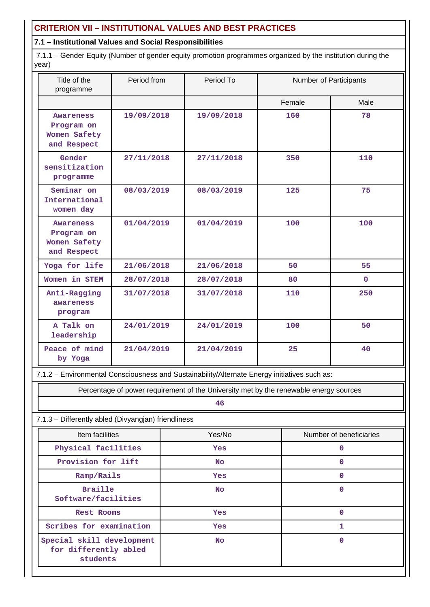## **CRITERION VII – INSTITUTIONAL VALUES AND BEST PRACTICES**

## **7.1 – Institutional Values and Social Responsibilities**

 7.1.1 – Gender Equity (Number of gender equity promotion programmes organized by the institution during the year)

| Title of the<br>programme                                                                    | Period from |  | Period To                                                                             |        | Number of Participants  |
|----------------------------------------------------------------------------------------------|-------------|--|---------------------------------------------------------------------------------------|--------|-------------------------|
|                                                                                              |             |  |                                                                                       | Female | Male                    |
| Awareness<br>Program on<br>Women Safety<br>and Respect                                       | 19/09/2018  |  | 19/09/2018                                                                            | 160    | 78                      |
| Gender<br>sensitization<br>programme                                                         | 27/11/2018  |  | 27/11/2018                                                                            | 350    | 110                     |
| Seminar on<br>International<br>women day                                                     | 08/03/2019  |  | 08/03/2019                                                                            | 125    | 75                      |
| Awareness<br>Program on<br>Women Safety<br>and Respect                                       | 01/04/2019  |  | 01/04/2019                                                                            | 100    | 100                     |
| Yoga for life                                                                                | 21/06/2018  |  | 21/06/2018                                                                            | 50     | 55                      |
| Women in STEM                                                                                | 28/07/2018  |  | 28/07/2018                                                                            | 80     | $\mathbf{0}$            |
| Anti-Ragging<br>awareness<br>program                                                         | 31/07/2018  |  | 31/07/2018                                                                            | 110    | 250                     |
| A Talk on<br>leadership                                                                      | 24/01/2019  |  | 24/01/2019                                                                            | 100    | 50                      |
| Peace of mind<br>by Yoga                                                                     | 21/04/2019  |  | 21/04/2019                                                                            | 25     | 40                      |
| 7.1.2 - Environmental Consciousness and Sustainability/Alternate Energy initiatives such as: |             |  |                                                                                       |        |                         |
|                                                                                              |             |  | Percentage of power requirement of the University met by the renewable energy sources |        |                         |
|                                                                                              |             |  | 46                                                                                    |        |                         |
| 7.1.3 - Differently abled (Divyangjan) friendliness                                          |             |  |                                                                                       |        |                         |
| Item facilities                                                                              |             |  | Yes/No                                                                                |        | Number of beneficiaries |
| Physical facilities                                                                          |             |  | Yes                                                                                   |        | 0                       |
| Provision for lift                                                                           |             |  | <b>No</b>                                                                             |        | $\mathbf 0$             |
| Ramp/Rails                                                                                   |             |  | Yes                                                                                   |        | $\mathbf 0$             |
| <b>Braille</b><br>Software/facilities                                                        |             |  | <b>No</b>                                                                             |        | $\mathbf 0$             |

**for differently abled students**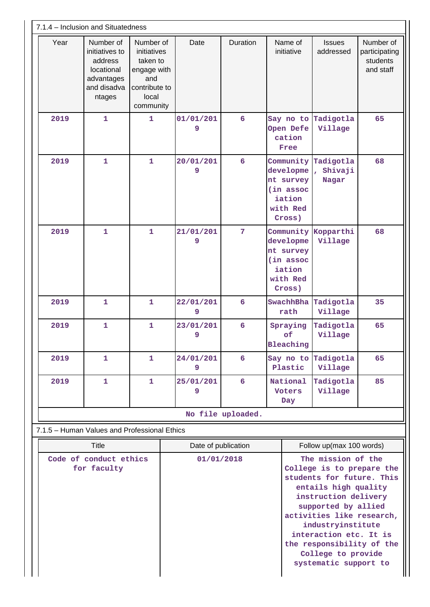| 7.1.4 - Inclusion and Situatedness    |                                                                                             |                                                                                                   |                     |                   |                                                                                  |                                                                                                                                                                                                                                                                                                             |                                                     |
|---------------------------------------|---------------------------------------------------------------------------------------------|---------------------------------------------------------------------------------------------------|---------------------|-------------------|----------------------------------------------------------------------------------|-------------------------------------------------------------------------------------------------------------------------------------------------------------------------------------------------------------------------------------------------------------------------------------------------------------|-----------------------------------------------------|
| Year                                  | Number of<br>initiatives to<br>address<br>locational<br>advantages<br>and disadva<br>ntages | Number of<br>initiatives<br>taken to<br>engage with<br>and<br>contribute to<br>local<br>community | Date                | Duration          | Name of<br>initiative                                                            | <b>Issues</b><br>addressed                                                                                                                                                                                                                                                                                  | Number of<br>participating<br>students<br>and staff |
| 2019                                  | $\mathbf{1}$                                                                                | $\mathbf{1}$                                                                                      | 01/01/201<br>9      | $6\overline{6}$   | Say no to<br>Open Defe<br>cation<br>Free                                         | Tadigotla<br>Village                                                                                                                                                                                                                                                                                        | 65                                                  |
| 2019                                  | $\mathbf{1}$                                                                                | $\mathbf{1}$                                                                                      | 20/01/201<br>9      | $6\overline{6}$   | Community<br>developme<br>nt survey<br>(in assoc<br>iation<br>with Red<br>Cross) | Tadigotla<br>Shivaji<br>Nagar                                                                                                                                                                                                                                                                               | 68                                                  |
| 2019                                  | $\mathbf{1}$                                                                                | $\mathbf{1}$                                                                                      | 21/01/201<br>9      | $\overline{7}$    | Community<br>developme<br>nt survey<br>(in assoc<br>iation<br>with Red<br>Cross) | Kopparthi<br>Village                                                                                                                                                                                                                                                                                        | 68                                                  |
| 2019                                  | $\mathbf{1}$                                                                                | $\mathbf{1}$                                                                                      | 22/01/201<br>9      | 6                 | SwachhBha<br>rath                                                                | Tadigotla<br>Village                                                                                                                                                                                                                                                                                        | 35                                                  |
| 2019                                  | $\mathbf{1}$                                                                                | $\overline{1}$                                                                                    | 23/01/201<br>9      | 6                 | Spraying<br>of<br>Bleaching                                                      | Tadigotla<br>Village                                                                                                                                                                                                                                                                                        | 65                                                  |
| 2019                                  | 1                                                                                           | 1.                                                                                                | 24/01/201<br>9      | 6                 | Plastic                                                                          | Say no to Tadigotla<br>Village                                                                                                                                                                                                                                                                              | 65                                                  |
| 2019                                  | $\mathbf{1}$                                                                                | $\mathbf{1}$                                                                                      | 25/01/201<br>9      | 6                 | National<br><b>Voters</b><br>Day                                                 | Tadigotla<br>Village                                                                                                                                                                                                                                                                                        | 85                                                  |
|                                       |                                                                                             |                                                                                                   |                     | No file uploaded. |                                                                                  |                                                                                                                                                                                                                                                                                                             |                                                     |
|                                       | 7.1.5 - Human Values and Professional Ethics                                                |                                                                                                   |                     |                   |                                                                                  |                                                                                                                                                                                                                                                                                                             |                                                     |
| <b>Title</b>                          |                                                                                             |                                                                                                   | Date of publication |                   |                                                                                  | Follow up(max 100 words)                                                                                                                                                                                                                                                                                    |                                                     |
| Code of conduct ethics<br>for faculty |                                                                                             |                                                                                                   | 01/01/2018          |                   |                                                                                  | The mission of the<br>College is to prepare the<br>students for future. This<br>entails high quality<br>instruction delivery<br>supported by allied<br>activities like research,<br>industryinstitute<br>interaction etc. It is<br>the responsibility of the<br>College to provide<br>systematic support to |                                                     |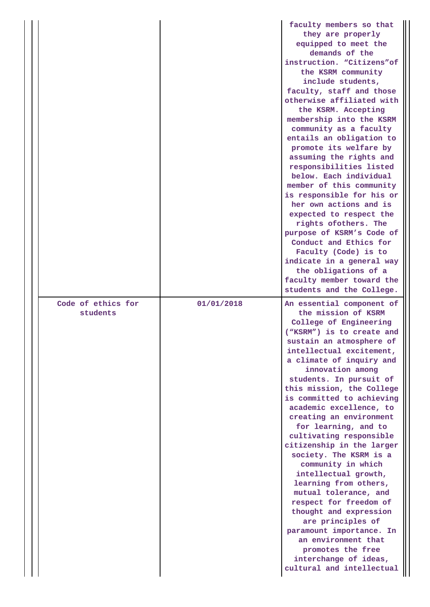|                                |            | faculty members so that<br>they are properly<br>equipped to meet the<br>demands of the<br>instruction. "Citizens"of<br>the KSRM community<br>include students,<br>faculty, staff and those<br>otherwise affiliated with<br>the KSRM. Accepting<br>membership into the KSRM<br>community as a faculty<br>entails an obligation to<br>promote its welfare by<br>assuming the rights and<br>responsibilities listed<br>below. Each individual<br>member of this community<br>is responsible for his or<br>her own actions and is<br>expected to respect the<br>rights ofothers. The<br>purpose of KSRM's Code of<br>Conduct and Ethics for<br>Faculty (Code) is to<br>indicate in a general way<br>the obligations of a<br>faculty member toward the<br>students and the College. |
|--------------------------------|------------|--------------------------------------------------------------------------------------------------------------------------------------------------------------------------------------------------------------------------------------------------------------------------------------------------------------------------------------------------------------------------------------------------------------------------------------------------------------------------------------------------------------------------------------------------------------------------------------------------------------------------------------------------------------------------------------------------------------------------------------------------------------------------------|
| Code of ethics for<br>students | 01/01/2018 | An essential component of<br>the mission of KSRM<br>College of Engineering<br>("KSRM") is to create and<br>sustain an atmosphere of<br>intellectual excitement,<br>a climate of inquiry and<br>innovation among<br>students. In pursuit of<br>this mission, the College<br>is committed to achieving<br>academic excellence, to<br>creating an environment<br>for learning, and to<br>cultivating responsible<br>citizenship in the larger<br>society. The KSRM is a<br>community in which<br>intellectual growth,<br>learning from others,<br>mutual tolerance, and<br>respect for freedom of<br>thought and expression<br>are principles of<br>paramount importance. In<br>an environment that<br>promotes the free<br>interchange of ideas,<br>cultural and intellectual    |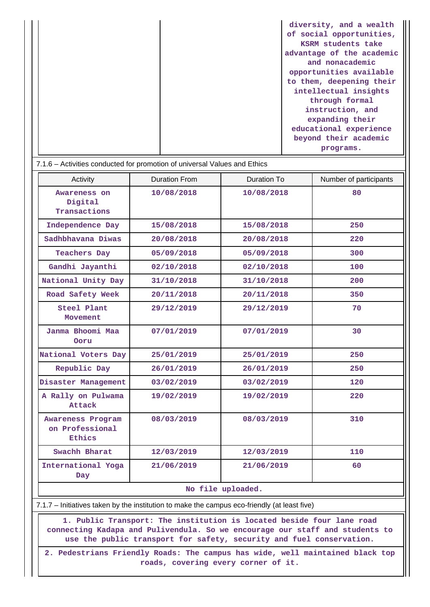|  | diversity, and a wealth   |
|--|---------------------------|
|  | of social opportunities,  |
|  | KSRM students take        |
|  | advantage of the academic |
|  | and nonacademic           |
|  | opportunities available   |
|  | to them, deepening their  |
|  | intellectual insights     |
|  | through formal            |
|  | instruction, and          |
|  | expanding their           |
|  | educational experience    |
|  | beyond their academic     |
|  | programs.                 |

| 7.1.6 – Activities conducted for promotion of universal Values and Ethics |                      |             |                        |  |  |  |
|---------------------------------------------------------------------------|----------------------|-------------|------------------------|--|--|--|
| Activity                                                                  | <b>Duration From</b> | Duration To | Number of participants |  |  |  |
| Awareness on<br>Digital<br>Transactions                                   | 10/08/2018           | 10/08/2018  | 80                     |  |  |  |
| Independence Day                                                          | 15/08/2018           | 15/08/2018  | 250                    |  |  |  |
| Sadhbhavana Diwas                                                         | 20/08/2018           | 20/08/2018  | 220                    |  |  |  |
| <b>Teachers Day</b>                                                       | 05/09/2018           | 05/09/2018  | 300                    |  |  |  |
| Gandhi Jayanthi                                                           | 02/10/2018           | 02/10/2018  | 100                    |  |  |  |
| National Unity Day                                                        | 31/10/2018           | 31/10/2018  | 200                    |  |  |  |
| Road Safety Week                                                          | 20/11/2018           | 20/11/2018  | 350                    |  |  |  |
| Steel Plant<br>Movement                                                   | 29/12/2019           | 29/12/2019  | 70                     |  |  |  |
| Janma Bhoomi Maa<br>Ooru                                                  | 07/01/2019           | 07/01/2019  | 30                     |  |  |  |
| National Voters Day                                                       | 25/01/2019           | 25/01/2019  | 250                    |  |  |  |
| Republic Day                                                              | 26/01/2019           | 26/01/2019  | 250                    |  |  |  |
| Disaster Management                                                       | 03/02/2019           | 03/02/2019  | 120                    |  |  |  |
| A Rally on Pulwama<br>Attack                                              | 19/02/2019           | 19/02/2019  | 220                    |  |  |  |
| Awareness Program<br>on Professional<br>Ethics                            | 08/03/2019           | 08/03/2019  | 310                    |  |  |  |
| Swachh Bharat                                                             | 12/03/2019           | 12/03/2019  | 110                    |  |  |  |
| International Yoga<br>Day                                                 | 21/06/2019           | 21/06/2019  | 60                     |  |  |  |
| No file uploaded.                                                         |                      |             |                        |  |  |  |

7.1.7 – Initiatives taken by the institution to make the campus eco-friendly (at least five)

 **1. Public Transport: The institution is located beside four lane road connecting Kadapa and Pulivendula. So we encourage our staff and students to use the public transport for safety, security and fuel conservation.**

**2. Pedestrians Friendly Roads: The campus has wide, well maintained black top roads, covering every corner of it.**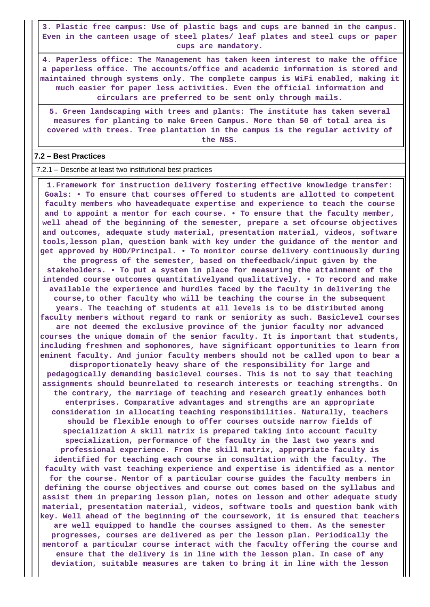**3. Plastic free campus: Use of plastic bags and cups are banned in the campus. Even in the canteen usage of steel plates/ leaf plates and steel cups or paper cups are mandatory.**

**4. Paperless office: The Management has taken keen interest to make the office a paperless office. The accounts/office and academic information is stored and maintained through systems only. The complete campus is WiFi enabled, making it much easier for paper less activities. Even the official information and circulars are preferred to be sent only through mails.**

**5. Green landscaping with trees and plants: The institute has taken several measures for planting to make Green Campus. More than 50 of total area is covered with trees. Tree plantation in the campus is the regular activity of the NSS.**

#### **7.2 – Best Practices**

7.2.1 – Describe at least two institutional best practices

 **1.Framework for instruction delivery fostering effective knowledge transfer: Goals: • To ensure that courses offered to students are allotted to competent faculty members who haveadequate expertise and experience to teach the course and to appoint a mentor for each course. • To ensure that the faculty member, well ahead of the beginning of the semester, prepare a set ofcourse objectives and outcomes, adequate study material, presentation material, videos, software tools,lesson plan, question bank with key under the guidance of the mentor and get approved by HOD/Principal. • To monitor course delivery continuously during the progress of the semester, based on thefeedback/input given by the stakeholders. • To put a system in place for measuring the attainment of the intended course outcomes quantitativelyand qualitatively. • To record and make available the experience and hurdles faced by the faculty in delivering the course,to other faculty who will be teaching the course in the subsequent years. The teaching of students at all levels is to be distributed among faculty members without regard to rank or seniority as such. Basiclevel courses are not deemed the exclusive province of the junior faculty nor advanced courses the unique domain of the senior faculty. It is important that students, including freshmen and sophomores, have significant opportunities to learn from eminent faculty. And junior faculty members should not be called upon to bear a disproportionately heavy share of the responsibility for large and pedagogically demanding basiclevel courses. This is not to say that teaching assignments should beunrelated to research interests or teaching strengths. On the contrary, the marriage of teaching and research greatly enhances both enterprises. Comparative advantages and strengths are an appropriate consideration in allocating teaching responsibilities. Naturally, teachers should be flexible enough to offer courses outside narrow fields of specialization A skill matrix is prepared taking into account faculty specialization, performance of the faculty in the last two years and professional experience. From the skill matrix, appropriate faculty is identified for teaching each course in consultation with the faculty. The faculty with vast teaching experience and expertise is identified as a mentor for the course. Mentor of a particular course guides the faculty members in defining the course objectives and course out comes based on the syllabus and assist them in preparing lesson plan, notes on lesson and other adequate study material, presentation material, videos, software tools and question bank with key. Well ahead of the beginning of the coursework, it is ensured that teachers are well equipped to handle the courses assigned to them. As the semester progresses, courses are delivered as per the lesson plan. Periodically the mentorof a particular course interact with the faculty offering the course and ensure that the delivery is in line with the lesson plan. In case of any deviation, suitable measures are taken to bring it in line with the lesson**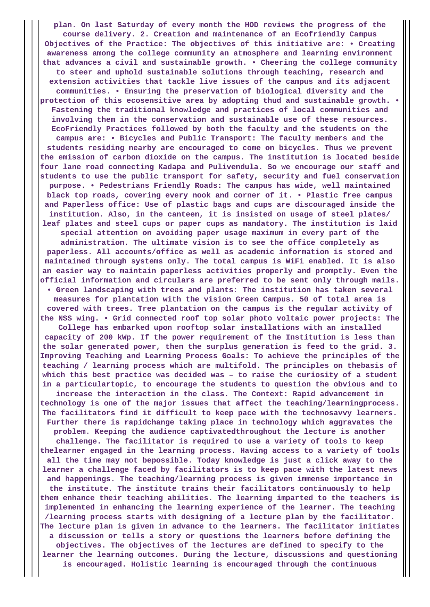**plan. On last Saturday of every month the HOD reviews the progress of the course delivery. 2. Creation and maintenance of an Ecofriendly Campus Objectives of the Practice: The objectives of this initiative are: • Creating awareness among the college community an atmosphere and learning environment that advances a civil and sustainable growth. • Cheering the college community to steer and uphold sustainable solutions through teaching, research and extension activities that tackle live issues of the campus and its adjacent communities. • Ensuring the preservation of biological diversity and the protection of this ecosensitive area by adopting thud and sustainable growth. • Fastening the traditional knowledge and practices of local communities and involving them in the conservation and sustainable use of these resources. EcoFriendly Practices followed by both the faculty and the students on the campus are: • Bicycles and Public Transport: The faculty members and the students residing nearby are encouraged to come on bicycles. Thus we prevent the emission of carbon dioxide on the campus. The institution is located beside four lane road connecting Kadapa and Pulivendula. So we encourage our staff and students to use the public transport for safety, security and fuel conservation purpose. • Pedestrians Friendly Roads: The campus has wide, well maintained black top roads, covering every nook and corner of it. • Plastic free campus and Paperless office: Use of plastic bags and cups are discouraged inside the institution. Also, in the canteen, it is insisted on usage of steel plates/ leaf plates and steel cups or paper cups as mandatory. The institution is laid special attention on avoiding paper usage maximum in every part of the administration. The ultimate vision is to see the office completely as paperless. All accounts/office as well as academic information is stored and maintained through systems only. The total campus is WiFi enabled. It is also an easier way to maintain paperless activities properly and promptly. Even the official information and circulars are preferred to be sent only through mails. • Green landscaping with trees and plants: The institution has taken several measures for plantation with the vision Green Campus. 50 of total area is covered with trees. Tree plantation on the campus is the regular activity of the NSS wing. • Grid connected roof top solar photo voltaic power projects: The College has embarked upon rooftop solar installations with an installed capacity of 200 kWp. If the power requirement of the Institution is less than the solar generated power, then the surplus generation is feed to the grid. 3. Improving Teaching and Learning Process Goals: To achieve the principles of the teaching / learning process which are multifold. The principles on thebasis of which this best practice was decided was – to raise the curiosity of a student in a particulartopic, to encourage the students to question the obvious and to increase the interaction in the class. The Context: Rapid advancement in technology is one of the major issues that affect the teaching/learningprocess. The facilitators find it difficult to keep pace with the technosavvy learners. Further there is rapidchange taking place in technology which aggravates the problem. Keeping the audience captivatedthroughout the lecture is another challenge. The facilitator is required to use a variety of tools to keep thelearner engaged in the learning process. Having access to a variety of tools all the time may not bepossible. Today knowledge is just a click away to the learner a challenge faced by facilitators is to keep pace with the latest news and happenings. The teaching/learning process is given immense importance in the institute. The institute trains their facilitators continuously to help them enhance their teaching abilities. The learning imparted to the teachers is implemented in enhancing the learning experience of the learner. The teaching /learning process starts with designing of a lecture plan by the facilitator. The lecture plan is given in advance to the learners. The facilitator initiates a discussion or tells a story or questions the learners before defining the objectives. The objectives of the lectures are defined to specify to the learner the learning outcomes. During the lecture, discussions and questioning is encouraged. Holistic learning is encouraged through the continuous**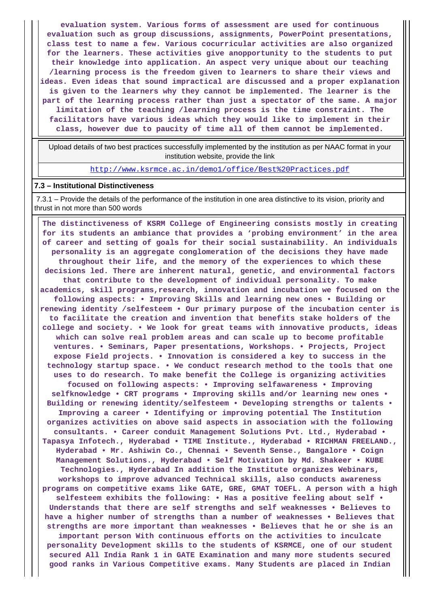**evaluation system. Various forms of assessment are used for continuous evaluation such as group discussions, assignments, PowerPoint presentations, class test to name a few. Various cocurricular activities are also organized for the learners. These activities give anopportunity to the students to put their knowledge into application. An aspect very unique about our teaching /learning process is the freedom given to learners to share their views and ideas. Even ideas that sound impractical are discussed and a proper explanation is given to the learners why they cannot be implemented. The learner is the part of the learning process rather than just a spectator of the same. A major limitation of the teaching /learning process is the time constraint. The facilitators have various ideas which they would like to implement in their class, however due to paucity of time all of them cannot be implemented.**

 Upload details of two best practices successfully implemented by the institution as per NAAC format in your institution website, provide the link

<u> 1989 - Johann Stoff, deutscher Stoffen und der Stoffen und der Stoffen und der Stoffen und der Stoffen und der</u>

<http://www.ksrmce.ac.in/demo1/office/Best%20Practices.pdf>

#### **7.3 – Institutional Distinctiveness**

 7.3.1 – Provide the details of the performance of the institution in one area distinctive to its vision, priority and thrust in not more than 500 words

 **The distinctiveness of KSRM College of Engineering consists mostly in creating for its students an ambiance that provides a 'probing environment' in the area of career and setting of goals for their social sustainability. An individuals personality is an aggregate conglomeration of the decisions they have made throughout their life, and the memory of the experiences to which these decisions led. There are inherent natural, genetic, and environmental factors that contribute to the development of individual personality. To make academics, skill programs,research, innovation and incubation we focused on the following aspects: • Improving Skills and learning new ones • Building or renewing identity /selfesteem • Our primary purpose of the incubation center is to facilitate the creation and invention that benefits stake holders of the college and society. • We look for great teams with innovative products, ideas which can solve real problem areas and can scale up to become profitable ventures. • Seminars, Paper presentations, Workshops. • Projects, Project expose Field projects. • Innovation is considered a key to success in the technology startup space. • We conduct research method to the tools that one uses to do research. To make benefit the College is organizing activities focused on following aspects: • Improving selfawareness • Improving selfknowledge • CRT programs • Improving skills and/or learning new ones • Building or renewing identity/selfesteem • Developing strengths or talents • Improving a career • Identifying or improving potential The Institution organizes activities on above said aspects in association with the following consultants. • Career conduit Management Solutions Pvt. Ltd., Hyderabad • Tapasya Infotech., Hyderabad • TIME Institute., Hyderabad • RICHMAN FREELAND., Hyderabad • Mr. Ashiwin Co., Chennai • Seventh Sense., Bangalore • Coign Management Solutions., Hyderabad • Self Motivation by Md. Shakeer • KUBE Technologies., Hyderabad In addition the Institute organizes Webinars, workshops to improve advanced Technical skills, also conducts awareness programs on competitive exams like GATE, GRE, GMAT TOEFL. A person with a high selfesteem exhibits the following: • Has a positive feeling about self • Understands that there are self strengths and self weaknesses • Believes to have a higher number of strengths than a number of weaknesses • Believes that strengths are more important than weaknesses • Believes that he or she is an important person With continuous efforts on the activities to inculcate personality Development skills to the students of KSRMCE, one of our student secured All India Rank 1 in GATE Examination and many more students secured good ranks in Various Competitive exams. Many Students are placed in Indian**